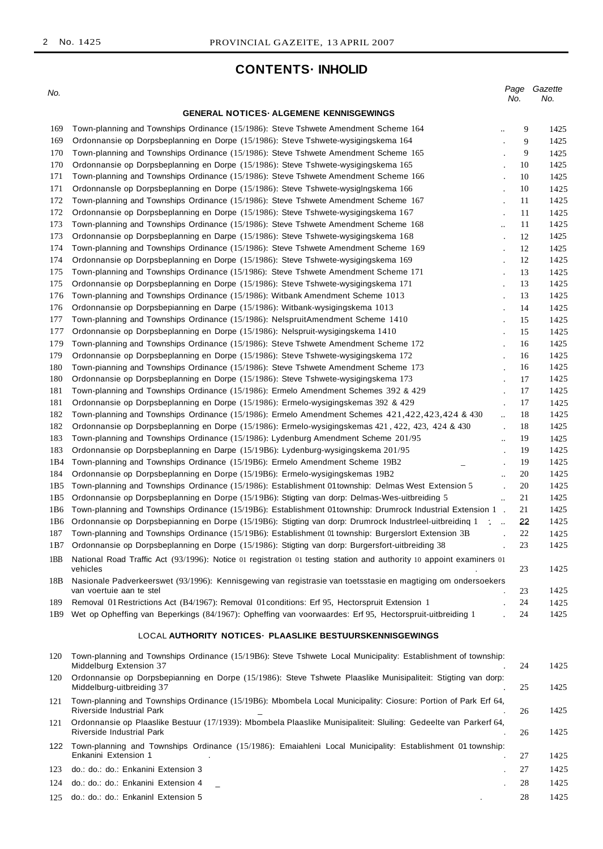# **CONTENTS· INHOLID**

| No.             |                                                                                                                                                                           | Page<br>No.                                  |        | Gazette<br>No. |
|-----------------|---------------------------------------------------------------------------------------------------------------------------------------------------------------------------|----------------------------------------------|--------|----------------|
|                 | <b>GENERAL NOTICES ALGEMENE KENNISGEWINGS</b>                                                                                                                             |                                              |        |                |
|                 |                                                                                                                                                                           |                                              |        |                |
| 169<br>169      | Town-planning and Townships Ordinance (15/1986): Steve Tshwete Amendment Scheme 164<br>Ordonnansie op Dorpsbeplanning en Dorpe (15/1986): Steve Tshwete-wysigingskema 164 | $\ddot{\phantom{a}}$                         | 9<br>9 | 1425<br>1425   |
| 170             | Town-planning and Townships Ordinance (15/1986): Steve Tshwete Amendment Scheme 165                                                                                       |                                              | 9      | 1425           |
| 170             | Ordonnansie op Dorpsbeplanning en Dorpe (15/1986): Steve Tshwete-wysigingskema 165                                                                                        |                                              | 10     | 1425           |
| 171             | Town-planning and Townships Ordinance (15/1986): Steve Tshwete Amendment Scheme 166                                                                                       | $\ddot{\phantom{a}}$                         | 10     | 1425           |
| 171             | Ordonnansle op Dorpsbeplanning en Dorpe (15/1986): Steve Tshwete-wysiglngskema 166                                                                                        | $\cdot$                                      | 10     | 1425           |
| 172             | Town-planning and Townships Ordinance (15/1986): Steve Tshwete Amendment Scheme 167                                                                                       | $\cdot$                                      | 11     | 1425           |
| 172             | Ordonnansie op Dorpsbeplanning en Dorpe (15/1986): Steve Tshwete-wysigingskema 167                                                                                        | $\cdot$                                      | 11     | 1425           |
| 173             | Town-planning and Townships Ordinance (15/1986): Steve Tshwete Amendment Scheme 168                                                                                       | $\ddotsc$                                    | 11     | 1425           |
| 173             | Ordonnansie op Dorpsbeplanning en Darpe (15/1986): Steve Tshwete-wysigingskema 168                                                                                        | $\cdot$                                      | 12     | 1425           |
| 174             | Town-planning and Townships Ordinance (15/1986): Steve Tshwete Amendment Scheme 169                                                                                       | $\blacksquare$                               | 12     | 1425           |
| 174             | Ordonnansie op Dorpsbeplanning en Dorpe (15/1986): Steve Tshwete-wysigingskema 169                                                                                        | $\overline{a}$                               | 12     | 1425           |
| 175             | Town-planning and Townships Ordinance (15/1986): Steve Tshwete Amendment Scheme 171                                                                                       | $\cdot$                                      | 13     | 1425           |
| 175             | Ordonnansie op Dorpsbeplanning en Dorpe (15/1986): Steve Tshwete-wysigingskema 171                                                                                        | $\ddot{\phantom{a}}$                         | 13     | 1425           |
| 176             | Town-planning and Townships Ordinance (15/1986): Witbank Amendment Scheme 1013                                                                                            |                                              | 13     | 1425           |
| 176             | Ordonnansie op Dorpsbepianning en Darpe (15/1986): Witbank-wysigingskema 1013                                                                                             | $\cdot$                                      | 14     | 1425           |
| 177             | Town-planning and Townships Ordinance (15/1986): NelspruitAmendment Scheme 1410                                                                                           | $\cdot$                                      | 15     | 1425           |
| 177             | Ordonnansie op Dorpsbeplanning en Dorpe (15/1986): Nelspruit-wysigingskema 1410                                                                                           |                                              | 15     | 1425           |
| 179             | Town-planning and Townships Ordinance (15/1986): Steve Tshwete Amendment Scheme 172                                                                                       |                                              | 16     | 1425           |
| 179             | Ordonnansie op Dorpsbeplanning en Dorpe (15/1986): Steve Tshwete-wysigingskema 172                                                                                        | $\blacksquare$                               | 16     | 1425           |
| 180             | Town-pianning and Townships Ordinance (15/1986): Steve Tshwete Amendment Scheme 173                                                                                       |                                              | 16     | 1425           |
| 180             | Ordonnansie op Dorpsbeplanning en Dorpe (15/1986): Steve Tshwete-wysigingskema 173                                                                                        | $\Box$<br>$\ddot{\phantom{a}}$               | 17     | 1425           |
| 181             | Town-planning and Townships Ordinance (15/1986): Ermelo Amendment Schemes 392 & 429                                                                                       | $\ddot{\phantom{a}}$                         | 17     | 1425           |
| 181             | Ordonnansie op Dorpsbeplanning en Dorpe (15/1986): Ermelo-wysigingskemas 392 & 429                                                                                        |                                              | 17     | 1425           |
| 182             | Town-planning and Townships Ordinance (15/1986): Ermelo Amendment Schemes 421,422,423,424 & 430                                                                           | $\ddot{\phantom{a}}$                         | 18     | 1425           |
| 182             | Ordonnansie op Dorpsbeplanning en Dorpe (15/1986): Ermelo-wysigingskemas 421, 422, 423, 424 & 430                                                                         | $\epsilon$                                   | 18     | 1425           |
| 183             | Town-planning and Townships Ordinance (15/1986): Lydenburg Amendment Scheme 201/95                                                                                        |                                              | 19     | 1425           |
| 183             | Ordonnansie op Dorpsbeplanning en Darpe (15/19B6): Lydenburg-wysigingskema 201/95                                                                                         | $\ddot{\phantom{1}}$<br>$\cdot$              | 19     | 1425           |
| 1B4             | Town-planning and Townships Ordinance (15/19B6): Ermelo Amendment Scheme 19B2                                                                                             |                                              | 19     | 1425           |
| 184             | $  \,$<br>Ordonnansie op Dorpsbeplanning en Dorpe (15/19B6): Ermelo-wysigingskemas 19B2                                                                                   |                                              | 20     | 1425           |
| 1B5             | Town-planning and Townships Ordinance (15/1986): Establishment 01township: Delmas West Extension 5                                                                        | $\ddot{\phantom{a}}$<br>$\ddot{\phantom{a}}$ | 20     | 1425           |
| 1B <sub>5</sub> | Ordonnansie op Dorpsbeplanning en Dorpe (15/19B6): Stigting van dorp: Delmas-Wes-uitbreiding 5                                                                            | $\mathbb{Z}^2$                               | 21     | 1425           |
| 1B6             | Town-planning and Townships Ordinance (15/19B6): Establishment 01township: Drumrock Industrial Extension 1.                                                               |                                              | 21     | 1425           |
| 1B6             | Ordonnansie op Dorpsbepianning en Dorpe (15/19B6): Stigting van dorp: Drumrock Industrieel-uitbreiding 1 :                                                                |                                              | 22     | 1425           |
| 187             | Town-planning and Townships Ordinance (15/19B6): Establishment 01 township: Burgerslort Extension 3B                                                                      | $\ddot{\phantom{a}}$                         | 22     | 1425           |
| 1 B 7           | Ordonnansie op Dorpsbeplanning en Dorpe (15/1986): Stigting van dorp: Burgersfort-uitbreiding 38                                                                          |                                              | 23     | 1425           |
|                 |                                                                                                                                                                           |                                              |        |                |
| 1BB             | National Road Traffic Act (93/1996): Notice 01 registration 01 testing station and authority 10 appoint examiners 01<br>vehicles                                          |                                              | 23     | 1425           |
| 18B             | Nasionale Padverkeerswet (93/1996): Kennisgewing van registrasie van toetsstasie en magtiging om ondersoekers                                                             |                                              |        |                |
|                 | van voertuie aan te stel                                                                                                                                                  |                                              | 23     | 1425           |
| 189             | Removal 01 Restrictions Act (B4/1967): Removal 01 conditions: Erf 95, Hectorspruit Extension 1                                                                            |                                              | 24     | 1425           |
| 1B9             | Wet op Opheffing van Beperkings (84/1967): Opheffing van voorwaardes: Erf 95, Hectorspruit-uitbreiding 1                                                                  |                                              | 24     | 1425           |
|                 |                                                                                                                                                                           |                                              |        |                |
|                 | LOCAL AUTHORITY NOTICES - PLAASLIKE BESTUURSKENNISGEWINGS                                                                                                                 |                                              |        |                |
| 120             | Town-planning and Townships Ordinance (15/19B6): Steve Tshwete Local Municipality: Establishment of township:                                                             |                                              |        |                |
|                 | Middelburg Extension 37                                                                                                                                                   |                                              | 24     | 1425           |
| 120             | Ordonnansie op Dorpsbepianning en Dorpe (15/1986): Steve Tshwete Plaaslike Munisipaliteit: Stigting van dorp:<br>Middelburg-uitbreiding 37                                |                                              | 25     | 1425           |
| 121             | Town-planning and Townships Ordinance (15/19B6): Mbombela Local Municipality: Ciosure: Portion of Park Erf 64,<br>Riverside Industrial Park                               |                                              | 26     | 1425           |
| 121             | Ordonnansie op Plaaslike Bestuur (17/1939): Mbombela Plaaslike Munisipaliteit: Sluiling: Gedeelte van Parkerf 64,<br><b>Riverside Industrial Park</b>                     |                                              | 26     | 1425           |
|                 | 122 Town-planning and Townships Ordinance (15/1986): Emaiahleni Local Municipality: Establishment 01 township:<br>Enkanini Extension 1                                    |                                              | 27     | 1425           |
| 123             | do.: do.: do.: Enkanini Extension 3                                                                                                                                       |                                              | 27     | 1425           |
|                 |                                                                                                                                                                           |                                              | 28     |                |
| 124             | do.: do.: do.: Enkanini Extension 4                                                                                                                                       |                                              |        | 1425           |

1425

do.: do.: do.: Enkaninl Extension 5 .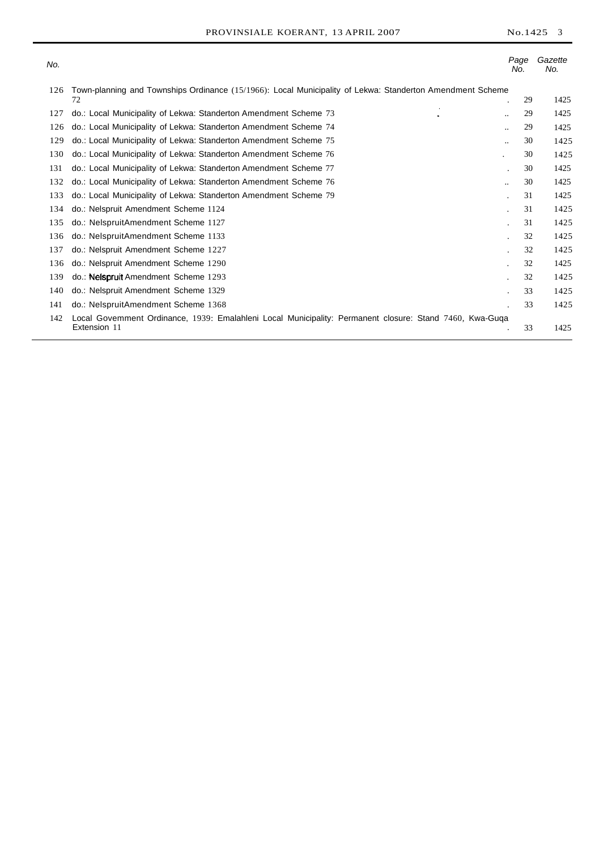| No. |                                                                                                                         | Page<br>No.     | Gazette<br>No. |
|-----|-------------------------------------------------------------------------------------------------------------------------|-----------------|----------------|
| 126 | Town-planning and Townships Ordinance (15/1966): Local Municipality of Lekwa: Standerton Amendment Scheme<br>72         | 29              | 1425           |
| 127 | do.: Local Municipality of Lekwa: Standerton Amendment Scheme 73                                                        | 29<br>۰.        | 1425           |
| 126 | do.: Local Municipality of Lekwa: Standerton Amendment Scheme 74                                                        | 29<br>          | 1425           |
| 129 | do.: Local Municipality of Lekwa: Standerton Amendment Scheme 75                                                        | 30<br>$\ddotsc$ | 1425           |
| 130 | do.: Local Municipality of Lekwa: Standerton Amendment Scheme 76                                                        | 30              | 1425           |
| 131 | do.: Local Municipality of Lekwa: Standerton Amendment Scheme 77                                                        | 30<br>$\bullet$ | 1425           |
| 132 | do.: Local Municipality of Lekwa: Standerton Amendment Scheme 76                                                        | 30<br>          | 1425           |
| 133 | do.: Local Municipality of Lekwa: Standerton Amendment Scheme 79                                                        | 31              | 1425           |
| 134 | do.: Nelspruit Amendment Scheme 1124                                                                                    | 31              | 1425           |
| 135 | do.: NelspruitAmendment Scheme 1127                                                                                     | 31              | 1425           |
| 136 | do.: NelspruitAmendment Scheme 1133                                                                                     | 32              | 1425           |
| 137 | do.: Nelspruit Amendment Scheme 1227                                                                                    | 32              | 1425           |
| 136 | do.: Nelspruit Amendment Scheme 1290                                                                                    | 32              | 1425           |
| 139 | do.: Nelspruit Amendment Scheme 1293                                                                                    | 32              | 1425           |
| 140 | do.: Nelspruit Amendment Scheme 1329                                                                                    | 33              | 1425           |
| 141 | do.: NelspruitAmendment Scheme 1368                                                                                     | 33              | 1425           |
| 142 | Local Govemment Ordinance, 1939: Emalahleni Local Municipality: Permanent closure: Stand 7460, Kwa-Guga<br>Extension 11 | 33              | 1425           |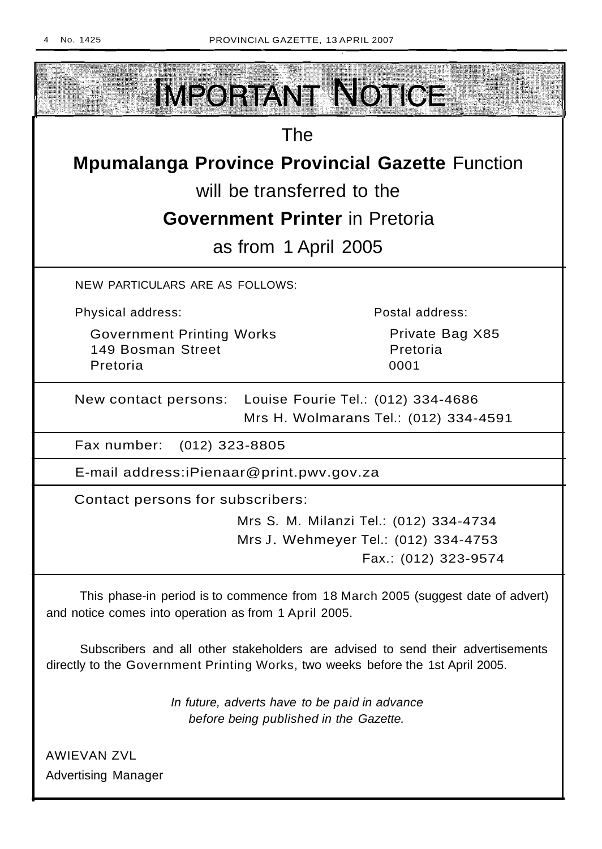

Advertising Manager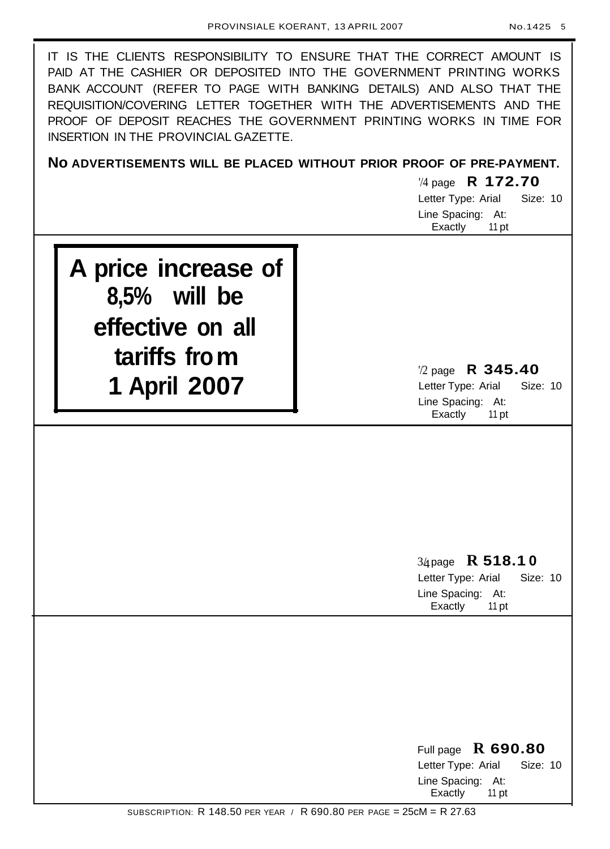IT IS THE CLIENTS RESPONSIBILITY TO ENSURE THAT THE CORRECT AMOUNT IS PAID AT THE CASHIER OR DEPOSITED INTO THE GOVERNMENT PRINTING WORKS BANK ACCOUNT (REFER TO PAGE WITH BANKING DETAILS) AND ALSO THAT THE REQUISITION/COVERING LETTER TOGETHER WITH THE ADVERTISEMENTS AND THE PROOF OF DEPOSIT REACHES THE GOVERNMENT PRINTING WORKS IN TIME FOR INSERTION IN THE PROVINCIAL GAZETTE.

**No ADVERTISEMENTS WILL BE PLACED WITHOUT PRIOR PROOF OF PRE-PAYMENT.**

'/4 page **R 172.70** Letter Type: Arial Size: 10 Line Spacing: At: Exactly 11 pt

**A price increase of 8,5% will be effective on all tariffs from 1 April 2007**

'/2 page **R 345.40** Letter Type: Arial Size: 10 Line Spacing: At: Exactly 11 pt

3/4page **R 518.1 0** Letter Type: Arial Size: 10 Line Spacing: At:

Exactly 11 pt

Full page **R 690.80** Letter Type: Arial Size: 10 Line Spacing: At: Exactly 11 pt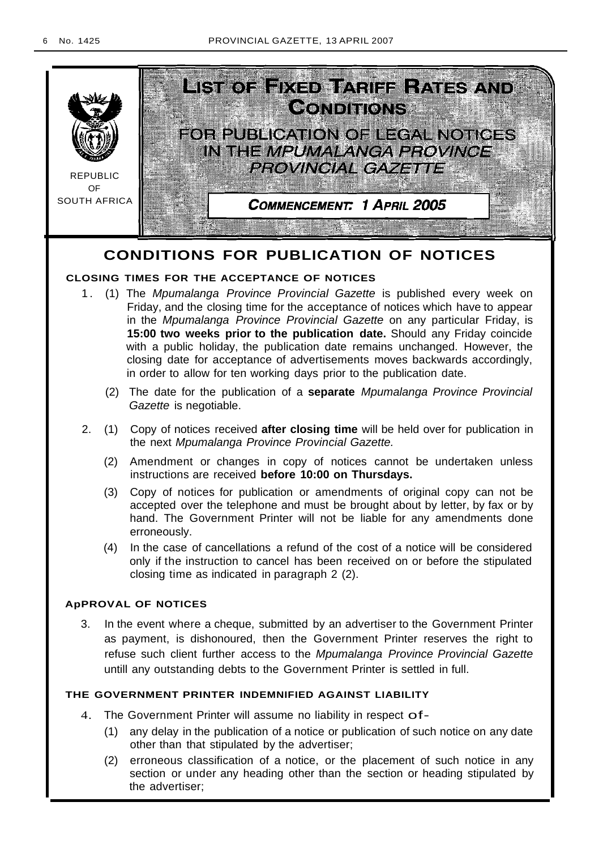

# **CONDITIONS FOR PUBLICATION OF NOTICES**

# **CLOSING TIMES FOR THE ACCEPTANCE OF NOTICES**

- 1. (1) The Mpumalanga Province Provincial Gazette is published every week on Friday, and the closing time for the acceptance of notices which have to appear in the Mpumalanga Province Provincial Gazette on any particular Friday, is **15:00 two weeks prior to the publication date.** Should any Friday coincide with a public holiday, the publication date remains unchanged. However, the closing date for acceptance of advertisements moves backwards accordingly, in order to allow for ten working days prior to the publication date.
	- (2) The date for the publication of a **separate** Mpumalanga Province Provincial Gazette is negotiable.
- 2. (1) Copy of notices received **after closing time** will be held over for publication in the next Mpumalanga Province Provincial Gazette.
	- (2) Amendment or changes in copy of notices cannot be undertaken unless instructions are received **before 10:00 on Thursdays.**
	- (3) Copy of notices for publication or amendments of original copy can not be accepted over the telephone and must be brought about by letter, by fax or by hand. The Government Printer will not be liable for any amendments done erroneously.
	- (4) In the case of cancellations a refund of the cost of a notice will be considered only if the instruction to cancel has been received on or before the stipulated closing time as indicated in paragraph 2 (2).

# **ApPROVAL OF NOTICES**

3. In the event where a cheque, submitted by an advertiser to the Government Printer as payment, is dishonoured, then the Government Printer reserves the right to refuse such client further access to the Mpumalanga Province Provincial Gazette untill any outstanding debts to the Government Printer is settled in full.

# **THE GOVERNMENT PRINTER INDEMNIFIED AGAINST LIABILITY**

- 4. The Government Printer will assume no liability in respect of-
	- (1) any delay in the publication of a notice or publication of such notice on any date other than that stipulated by the advertiser;
	- (2) erroneous classification of a notice, or the placement of such notice in any section or under any heading other than the section or heading stipulated by the advertiser;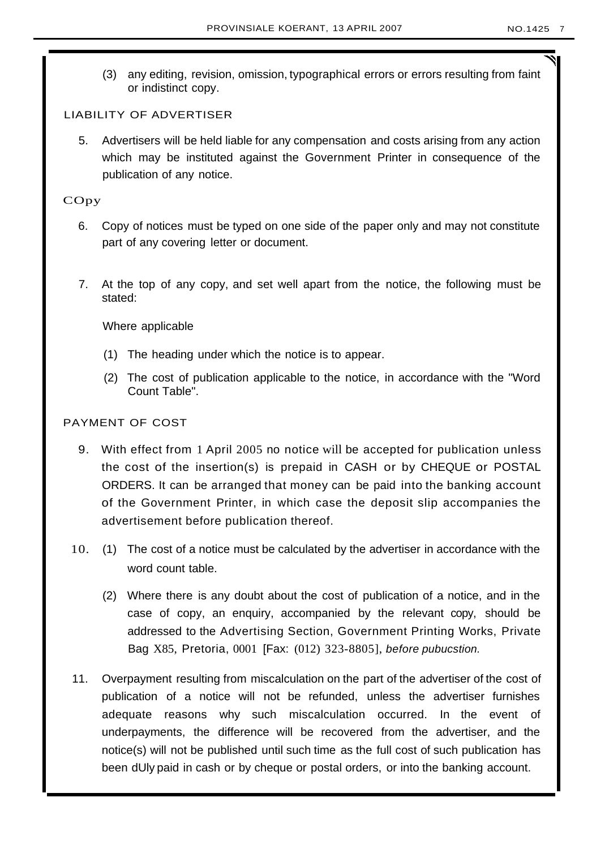(3) any editing, revision, omission, typographical errors or errors resulting from faint or indistinct copy.

# LIABILITY OF ADVERTISER

5. Advertisers will be held liable for any compensation and costs arising from any action which may be instituted against the Government Printer in consequence of the publication of any notice.

# COpy

- 6. Copy of notices must be typed on one side of the paper only and may not constitute part of any covering letter or document.
- 7. At the top of any copy, and set well apart from the notice, the following must be stated:

Where applicable

- (1) The heading under which the notice is to appear.
- (2) The cost of publication applicable to the notice, in accordance with the "Word Count Table".

# PAYMENT OF COST

- 9. With effect from 1 April 2005 no notice will be accepted for publication unless the cost of the insertion(s) is prepaid in CASH or by CHEQUE or POSTAL ORDERS. It can be arranged that money can be paid into the banking account of the Government Printer, in which case the deposit slip accompanies the advertisement before publication thereof.
- 10. (1) The cost of a notice must be calculated by the advertiser in accordance with the word count table.
	- (2) Where there is any doubt about the cost of publication of a notice, and in the case of copy, an enquiry, accompanied by the relevant copy, should be addressed to the Advertising Section, Government Printing Works, Private Bag X85, Pretoria, 0001 [Fax: (012) 323-8805], before pubucstion.
- 11. Overpayment resulting from miscalculation on the part of the advertiser of the cost of publication of a notice will not be refunded, unless the advertiser furnishes adequate reasons why such miscalculation occurred. In the event of underpayments, the difference will be recovered from the advertiser, and the notice(s) will not be published until such time as the full cost of such publication has been dUly paid in cash or by cheque or postal orders, or into the banking account.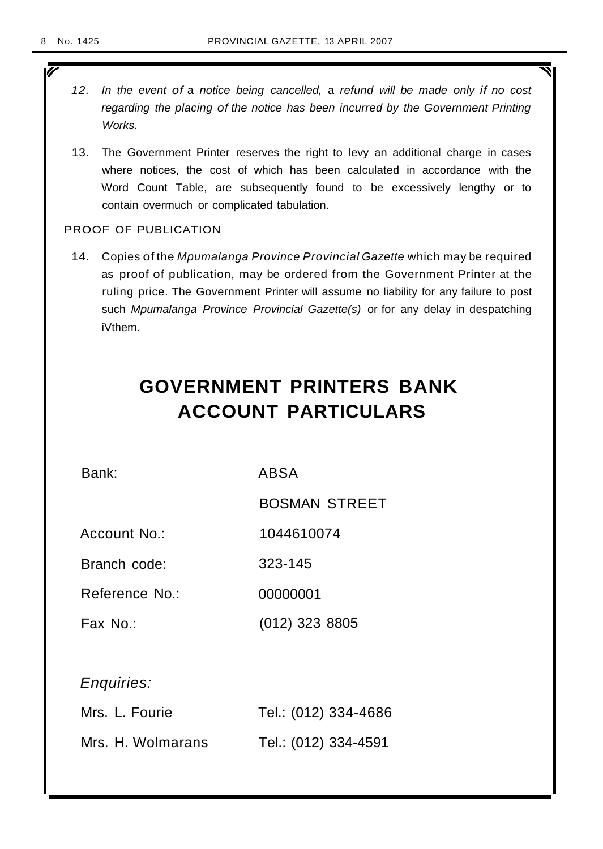ī

- 12. In the event of a notice being cancelled, a refund will be made only if no cost regarding the placing of the notice has been incurred by the Government Printing Works.
- 13. The Government Printer reserves the right to levy an additional charge in cases where notices, the cost of which has been calculated in accordance with the Word Count Table, are subsequently found to be excessively lengthy or to contain overmuch or complicated tabulation.

# PROOF OF PUBLICATION

14. Copies of the Mpumalanga Province Provincial Gazette which may be required as proof of publication, may be ordered from the Government Printer at the ruling price. The Government Printer will assume no liability for any failure to post such Mpumalanga Province Provincial Gazette(s) or for any delay in despatching iVthem.

# **GOVERNMENT PRINTERS BANK ACCOUNT PARTICULARS**

| Bank:             | ABSA                 |  |  |  |  |
|-------------------|----------------------|--|--|--|--|
|                   | <b>BOSMAN STREET</b> |  |  |  |  |
| Account No.:      | 1044610074           |  |  |  |  |
| Branch code:      | 323-145              |  |  |  |  |
| Reference No.:    | 00000001             |  |  |  |  |
| Fax No.:          | $(012)$ 323 8805     |  |  |  |  |
|                   |                      |  |  |  |  |
| Enquiries:        |                      |  |  |  |  |
| Mrs. L. Fourie    | Tel.: (012) 334-4686 |  |  |  |  |
| Mrs. H. Wolmarans | Tel.: (012) 334-4591 |  |  |  |  |
|                   |                      |  |  |  |  |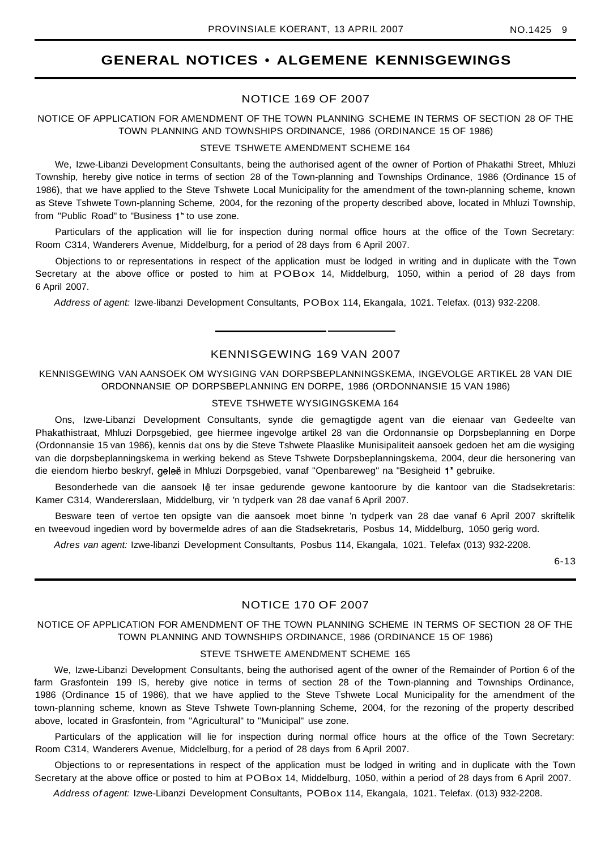# **GENERAL NOTICES • ALGEMENE KENNISGEWINGS**

## NOTICE 169 OF 2007

## NOTICE OF APPLICATION FOR AMENDMENT OF THE TOWN PLANNING SCHEME IN TERMS OF SECTION 28 OF THE TOWN PLANNING AND TOWNSHIPS ORDINANCE, 1986 (ORDINANCE 15 OF 1986)

#### STEVE TSHWETE AMENDMENT SCHEME 164

We, Izwe-Libanzi Development Consultants, being the authorised agent of the owner of Portion of Phakathi Street, Mhluzi Township, hereby give notice in terms of section 28 of the Town-planning and Townships Ordinance, 1986 (Ordinance 15 of 1986), that we have applied to the Steve Tshwete Local Municipality for the amendment of the town-planning scheme, known as Steve Tshwete Town-planning Scheme, 2004, for the rezoning of the property described above, located in Mhluzi Township, from "Public Road" to "Business 1" to use zone.

Particulars of the application will lie for inspection during normal office hours at the office of the Town Secretary: Room C314, Wanderers Avenue, Middelburg, for a period of 28 days from 6 April 2007.

Objections to or representations in respect of the application must be lodged in writing and in duplicate with the Town Secretary at the above office or posted to him at POBox 14, Middelburg, 1050, within a period of 28 days from 6 April 2007.

Address of agent: Izwe-libanzi Development Consultants, POBox 114, Ekangala, 1021. Telefax. (013) 932-2208.

## KENNISGEWING 169 VAN 2007

## KENNISGEWING VAN AANSOEK OM WYSIGING VAN DORPSBEPLANNINGSKEMA, INGEVOLGE ARTIKEL 28 VAN DIE ORDONNANSIE OP DORPSBEPLANNING EN DORPE, 1986 (ORDONNANSIE 15 VAN 1986)

#### STEVE TSHWETE WYSIGINGSKEMA 164

Ons, Izwe-Libanzi Development Consultants, synde die gemagtigde agent van die eienaar van Gedeelte van Phakathistraat, Mhluzi Dorpsgebied, gee hiermee ingevolge artikel 28 van die Ordonnansie op Dorpsbeplanning en Dorpe (Ordonnansie 15 van 1986), kennis dat ons by die Steve Tshwete Plaaslike Munisipaliteit aansoek gedoen het am die wysiging van die dorpsbeplanningskema in werking bekend as Steve Tshwete Dorpsbeplanningskema, 2004, deur die hersonering van die eiendom hierbo beskryf, geleë in Mhluzi Dorpsgebied, vanaf "Openbareweg" na "Besigheid 1" gebruike.

Besonderhede van die aansoek lê ter insae gedurende gewone kantoorure by die kantoor van die Stadsekretaris: Kamer C314, Wandererslaan, Middelburg, vir 'n tydperk van 28 dae vanaf 6 April 2007.

Besware teen of vertoe ten opsigte van die aansoek moet binne 'n tydperk van 28 dae vanaf 6 April 2007 skriftelik en tweevoud ingedien word by bovermelde adres of aan die Stadsekretaris, Posbus 14, Middelburg, 1050 gerig word.

Adres van agent: Izwe-libanzi Development Consultants, Posbus 114, Ekangala, 1021. Telefax (013) 932-2208.

6-13

## NOTICE 170 OF 2007

## NOTICE OF APPLICATION FOR AMENDMENT OF THE TOWN PLANNING SCHEME IN TERMS OF SECTION 28 OF THE TOWN PLANNING AND TOWNSHIPS ORDINANCE, 1986 (ORDINANCE 15 OF 1986)

#### STEVE TSHWETE AMENDMENT SCHEME 165

We, Izwe-Libanzi Development Consultants, being the authorised agent of the owner of the Remainder of Portion 6 of the farm Grasfontein 199 IS, hereby give notice in terms of section 28 of the Town-planning and Townships Ordinance, 1986 (Ordinance 15 of 1986), that we have applied to the Steve Tshwete Local Municipality for the amendment of the town-planning scheme, known as Steve Tshwete Town-planning Scheme, 2004, for the rezoning of the property described above, located in Grasfontein, from "Agricultural" to "Municipal" use zone.

Particulars of the application will lie for inspection during normal office hours at the office of the Town Secretary: Room C314, Wanderers Avenue, Midclelburg, for a period of 28 days from 6 April 2007.

Objections to or representations in respect of the application must be lodged in writing and in duplicate with the Town Secretary at the above office or posted to him at POBox 14, Middelburg, 1050, within a period of 28 days from 6 April 2007.

Address of agent: Izwe-Libanzi Development Consultants, POBox 114, Ekangala, 1021. Telefax. (013) 932-2208.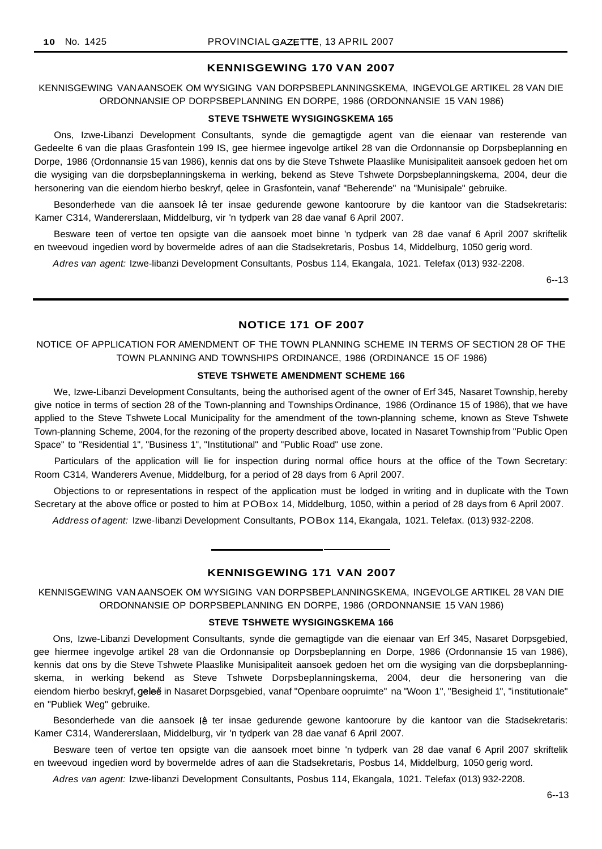#### **KENNISGEWING 170 VAN 2007**

KENNISGEWING VANAANSOEK OM WYSIGING VAN DORPSBEPLANNINGSKEMA, INGEVOLGE ARTIKEL 28 VAN DIE ORDONNANSIE OP DORPSBEPLANNING EN DORPE, 1986 (ORDONNANSIE 15 VAN 1986)

## **STEVE TSHWETE WYSIGINGSKEMA 165**

Ons, Izwe-Libanzi Development Consultants, synde die gemagtigde agent van die eienaar van resterende van Gedeelte 6 van die plaas Grasfontein 199 IS, gee hiermee ingevolge artikel 28 van die Ordonnansie op Dorpsbeplanning en Dorpe, 1986 (Ordonnansie 15 van 1986), kennis dat ons by die Steve Tshwete Plaaslike Munisipaliteit aansoek gedoen het om die wysiging van die dorpsbeplanningskema in werking, bekend as Steve Tshwete Dorpsbeplanningskema, 2004, deur die hersonering van die eiendom hierbo beskryf, qelee in Grasfontein, vanaf "Beherende" na "Munisipale" gebruike.

Besonderhede van die aansoek lê ter insae gedurende gewone kantoorure by die kantoor van die Stadsekretaris: Kamer C314, Wandererslaan, Middelburg, vir 'n tydperk van 28 dae vanaf 6 April 2007.

Besware teen of vertoe ten opsigte van die aansoek moet binne 'n tydperk van 28 dae vanaf 6 April 2007 skriftelik en tweevoud ingedien word by bovermelde adres of aan die Stadsekretaris, Posbus 14, Middelburg, 1050 gerig word.

Adres van agent: Izwe-libanzi Development Consultants, Posbus 114, Ekangala, 1021. Telefax (013) 932-2208.

6--13

## **NOTICE 171 OF 2007**

NOTICE OF APPLICATION FOR AMENDMENT OF THE TOWN PLANNING SCHEME IN TERMS OF SECTION 28 OF THE TOWN PLANNING AND TOWNSHIPS ORDINANCE, 1986 (ORDINANCE 15 OF 1986)

#### **STEVE TSHWETE AMENDMENT SCHEME 166**

We, Izwe-Libanzi Development Consultants, being the authorised agent of the owner of Erf 345, Nasaret Township, hereby give notice in terms of section 28 of the Town-planning and Townships Ordinance, 1986 (Ordinance 15 of 1986), that we have applied to the Steve Tshwete Local Municipality for the amendment of the town-planning scheme, known as Steve Tshwete Town-planning Scheme, 2004, for the rezoning of the property described above, located in Nasaret Township from "Public Open Space" to "Residential 1", "Business 1", "Institutional" and "Public Road" use zone.

Particulars of the application will lie for inspection during normal office hours at the office of the Town Secretary: Room C314, Wanderers Avenue, Middelburg, for a period of 28 days from 6 April 2007.

Objections to or representations in respect of the application must be lodged in writing and in duplicate with the Town Secretary at the above office or posted to him at POBox 14, Middelburg, 1050, within a period of 28 days from 6 April 2007.

Address of agent: Izwe-Iibanzi Development Consultants, POBox 114, Ekangala, 1021. Telefax. (013) 932-2208.

## **KENNISGEWING 171 VAN 2007**

KENNISGEWING VAN AANSOEK OM WYSIGING VAN DORPSBEPLANNINGSKEMA, INGEVOLGE ARTIKEL 28 VAN DIE ORDONNANSIE OP DORPSBEPLANNING EN DORPE, 1986 (ORDONNANSIE 15 VAN 1986)

## **STEVE TSHWETE WYSIGINGSKEMA 166**

Ons, Izwe-Libanzi Development Consultants, synde die gemagtigde van die eienaar van Erf 345, Nasaret Dorpsgebied, gee hiermee ingevolge artikel 28 van die Ordonnansie op Dorpsbeplanning en Dorpe, 1986 (Ordonnansie 15 van 1986), kennis dat ons by die Steve Tshwete Plaaslike Munisipaliteit aansoek gedoen het om die wysiging van die dorpsbeplanningskema, in werking bekend as Steve Tshwete Dorpsbeplanningskema, 2004, deur die hersonering van die eiendom hierbo beskryf, geleë in Nasaret Dorpsgebied, vanaf "Openbare oopruimte" na "Woon 1", "Besigheid 1", "institutionale" en "Publiek Weg" gebruike.

Besonderhede van die aansoek (ê ter insae gedurende gewone kantoorure by die kantoor van die Stadsekretaris: Kamer C314, Wandererslaan, Middelburg, vir 'n tydperk van 28 dae vanaf 6 April 2007.

Besware teen of vertoe ten opsigte van die aansoek moet binne 'n tydperk van 28 dae vanaf 6 April 2007 skriftelik en tweevoud ingedien word by bovermelde adres of aan die Stadsekretaris, Posbus 14, Middelburg, 1050 gerig word.

Adres van agent: Izwe-Iibanzi Development Consultants, Posbus 114, Ekangala, 1021. Telefax (013) 932-2208.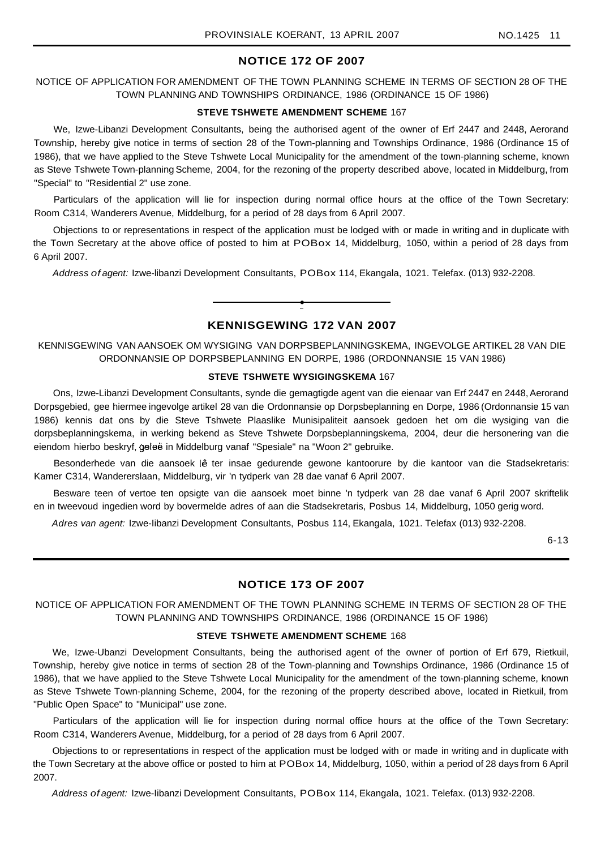## **NOTICE 172 OF 2007**

NOTICE OF APPLICATION FOR AMENDMENT OF THE TOWN PLANNING SCHEME IN TERMS OF SECTION 28 OF THE TOWN PLANNING AND TOWNSHIPS ORDINANCE, 1986 (ORDINANCE 15 OF 1986)

### **STEVE TSHWETE AMENDMENT SCHEME** 167

We, Izwe-Libanzi Development Consultants, being the authorised agent of the owner of Erf 2447 and 2448, Aerorand Township, hereby give notice in terms of section 28 of the Town-planning and Townships Ordinance, 1986 (Ordinance 15 of 1986), that we have applied to the Steve Tshwete Local Municipality for the amendment of the town-planning scheme, known as Steve Tshwete Town-planning Scheme, 2004, for the rezoning of the property described above, located in Middelburg, from "Special" to "Residential 2" use zone.

Particulars of the application will lie for inspection during normal office hours at the office of the Town Secretary: Room C314, Wanderers Avenue, Middelburg, for a period of 28 days from 6 April 2007.

Objections to or representations in respect of the application must be lodged with or made in writing and in duplicate with the Town Secretary at the above office of posted to him at POBox 14, Middelburg, 1050, within a period of 28 days from 6 April 2007.

Address of agent: Izwe-libanzi Development Consultants, POBox 114, Ekangala, 1021. Telefax. (013) 932-2208.

# **KENNISGEWING 172 VAN 2007**

**•**

KENNISGEWING VAN AANSOEK OM WYSIGING VAN DORPSBEPLANNINGSKEMA, INGEVOLGE ARTIKEL 28 VAN DIE ORDONNANSIE OP DORPSBEPLANNING EN DORPE, 1986 (ORDONNANSIE 15 VAN 1986)

#### **STEVE TSHWETE WYSIGINGSKEMA** 167

Ons, Izwe-Libanzi Development Consultants, synde die gemagtigde agent van die eienaar van Erf 2447 en 2448, Aerorand Dorpsgebied, gee hiermee ingevolge artikel 28 van die Ordonnansie op Dorpsbeplanning en Dorpe, 1986 (Ordonnansie 15 van 1986) kennis dat ons by die Steve Tshwete Plaaslike Munisipaliteit aansoek gedoen het om die wysiging van die dorpsbeplanningskema, in werking bekend as Steve Tshwete Dorpsbeplanningskema, 2004, deur die hersonering van die eiendom hierbo beskryf, geleë in Middelburg vanaf "Spesiale" na "Woon 2" gebruike.

Besonderhede van die aansoek lê ter insae gedurende gewone kantoorure by die kantoor van die Stadsekretaris: Kamer C314, Wandererslaan, Middelburg, vir 'n tydperk van 28 dae vanaf 6 April 2007.

Besware teen of vertoe ten opsigte van die aansoek moet binne 'n tydperk van 28 dae vanaf 6 April 2007 skriftelik en in tweevoud ingedien word by bovermelde adres of aan die Stadsekretaris, Posbus 14, Middelburg, 1050 gerig word.

Adres van agent: Izwe-Iibanzi Development Consultants, Posbus 114, Ekangala, 1021. Telefax (013) 932-2208.

6-13

## **NOTICE 173 OF 2007**

NOTICE OF APPLICATION FOR AMENDMENT OF THE TOWN PLANNING SCHEME IN TERMS OF SECTION 28 OF THE TOWN PLANNING AND TOWNSHIPS ORDINANCE, 1986 (ORDINANCE 15 OF 1986)

## **STEVE TSHWETE AMENDMENT SCHEME** 168

We, Izwe-Ubanzi Development Consultants, being the authorised agent of the owner of portion of Erf 679, Rietkuil, Township, hereby give notice in terms of section 28 of the Town-planning and Townships Ordinance, 1986 (Ordinance 15 of 1986), that we have applied to the Steve Tshwete Local Municipality for the amendment of the town-planning scheme, known as Steve Tshwete Town-planning Scheme, 2004, for the rezoning of the property described above, located in Rietkuil, from "Public Open Space" to "Municipal" use zone.

Particulars of the application will lie for inspection during normal office hours at the office of the Town Secretary: Room C314, Wanderers Avenue, Middelburg, for a period of 28 days from 6 April 2007.

Objections to or representations in respect of the application must be lodged with or made in writing and in duplicate with the Town Secretary at the above office or posted to him at POBox 14, Middelburg, 1050, within a period of 28 days from 6 April 2007.

Address of agent: Izwe-Iibanzi Development Consultants, POBox 114, Ekangala, 1021. Telefax. (013) 932-2208.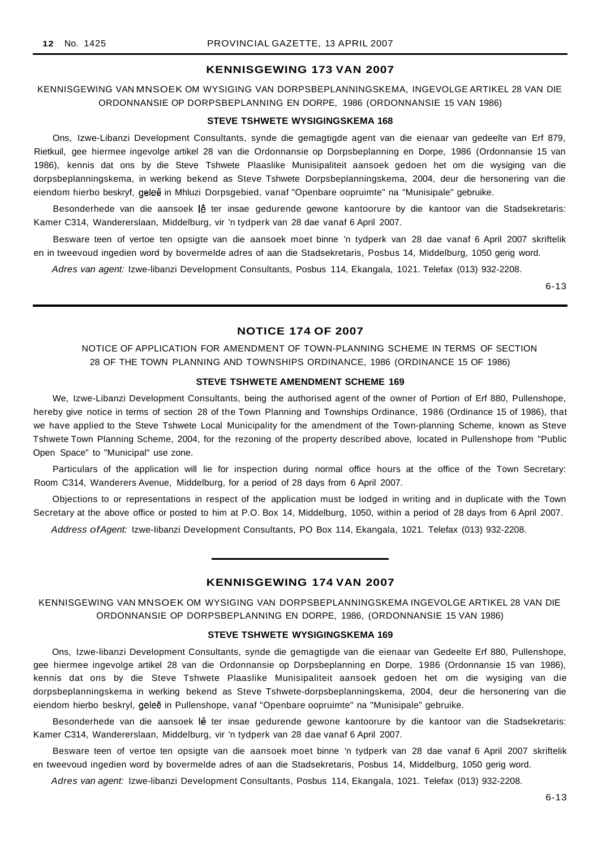## **KENNISGEWING 173 VAN 2007**

KENNISGEWING VAN MNSOEK OM WYSIGING VAN DORPSBEPLANNINGSKEMA, INGEVOLGE ARTIKEL 28 VAN DIE ORDONNANSIE OP DORPSBEPLANNING EN DORPE, 1986 (ORDONNANSIE 15 VAN 1986)

#### **STEVE TSHWETE WYSIGINGSKEMA 168**

Ons, Izwe-Libanzi Development Consultants, synde die gemagtigde agent van die eienaar van gedeelte van Erf 879, Rietkuil, gee hiermee ingevolge artikel 28 van die Ordonnansie op Dorpsbeplanning en Dorpe, 1986 (Ordonnansie 15 van 1986), kennis dat ons by die Steve Tshwete Plaaslike Munisipaliteit aansoek gedoen het om die wysiging van die dorpsbeplanningskema, in werking bekend as Steve Tshwete Dorpsbeplanningskema, 2004, deur die hersonering van die eiendom hierbo beskryf, geleë in Mhluzi Dorpsgebied, vanaf "Openbare oopruimte" na "Munisipale" gebruike.

Besonderhede van die aansoek lê ter insae gedurende gewone kantoorure by die kantoor van die Stadsekretaris: Kamer C314, Wandererslaan, Middelburg, vir 'n tydperk van 28 dae vanaf 6 April 2007.

Besware teen of vertoe ten opsigte van die aansoek moet binne 'n tydperk van 28 dae vanaf 6 April 2007 skriftelik en in tweevoud ingedien word by bovermelde adres of aan die Stadsekretaris, Posbus 14, Middelburg, 1050 gerig word.

Adres van agent: Izwe-libanzi Development Consultants, Posbus 114, Ekangala, 1021. Telefax (013) 932-2208.

6-13

# **NOTICE 174 OF 2007**

NOTICE OF APPLICATION FOR AMENDMENT OF TOWN-PLANNING SCHEME IN TERMS OF SECTION 28 OF THE TOWN PLANNING AND TOWNSHIPS ORDINANCE, 1986 (ORDINANCE 15 OF 1986)

#### **STEVE TSHWETE AMENDMENT SCHEME 169**

We, Izwe-Libanzi Development Consultants, being the authorised agent of the owner of Portion of Erf 880, Pullenshope, hereby give notice in terms of section 28 of the Town Planning and Townships Ordinance, 1986 (Ordinance 15 of 1986), that we have applied to the Steve Tshwete Local Municipality for the amendment of the Town-planning Scheme, known as Steve Tshwete Town Planning Scheme, 2004, for the rezoning of the property described above, located in Pullenshope from "Public Open Space" to "Municipal" use zone.

Particulars of the application will lie for inspection during normal office hours at the office of the Town Secretary: Room C314, Wanderers Avenue, Middelburg, for a period of 28 days from 6 April 2007.

Objections to or representations in respect of the application must be lodged in writing and in duplicate with the Town Secretary at the above office or posted to him at P.O. Box 14, Middelburg, 1050, within a period of 28 days from 6 April 2007.

Address ofAgent: Izwe-Iibanzi Development Consultants, PO Box 114, Ekangala, 1021. Telefax (013) 932-2208.

## **KENNISGEWING 174 VAN 2007**

KENNISGEWING VAN MNSOEK OM WYSIGING VAN DORPSBEPLANNINGSKEMA INGEVOLGE ARTIKEL 28 VAN DIE ORDONNANSIE OP DORPSBEPLANNING EN DORPE, 1986, (ORDONNANSIE 15 VAN 1986)

## **STEVE TSHWETE WYSIGINGSKEMA 169**

Ons, Izwe-libanzi Development Consultants, synde die gemagtigde van die eienaar van Gedeelte Erf 880, Pullenshope, gee hiermee ingevolge artikel 28 van die Ordonnansie op Dorpsbeplanning en Dorpe, 1986 (Ordonnansie 15 van 1986), kennis dat ons by die Steve Tshwete Plaaslike Munisipaliteit aansoek gedoen het om die wysiging van die dorpsbeplanningskema in werking bekend as Steve Tshwete-dorpsbeplanningskema, 2004, deur die hersonering van die eiendom hierbo beskryl, geleë in Pullenshope, vanaf "Openbare oopruimte" na "Munisipale" gebruike.

Besonderhede van die aansoek lê ter insae gedurende gewone kantoorure by die kantoor van die Stadsekretaris: Kamer C314, Wandererslaan, Middelburg, vir 'n tydperk van 28 dae vanaf 6 April 2007.

Besware teen of vertoe ten opsigte van die aansoek moet binne 'n tydperk van 28 dae vanaf 6 April 2007 skriftelik en tweevoud ingedien word by bovermelde adres of aan die Stadsekretaris, Posbus 14, Middelburg, 1050 gerig word.

Adres van agent: Izwe-libanzi Development Consultants, Posbus 114, Ekangala, 1021. Telefax (013) 932-2208.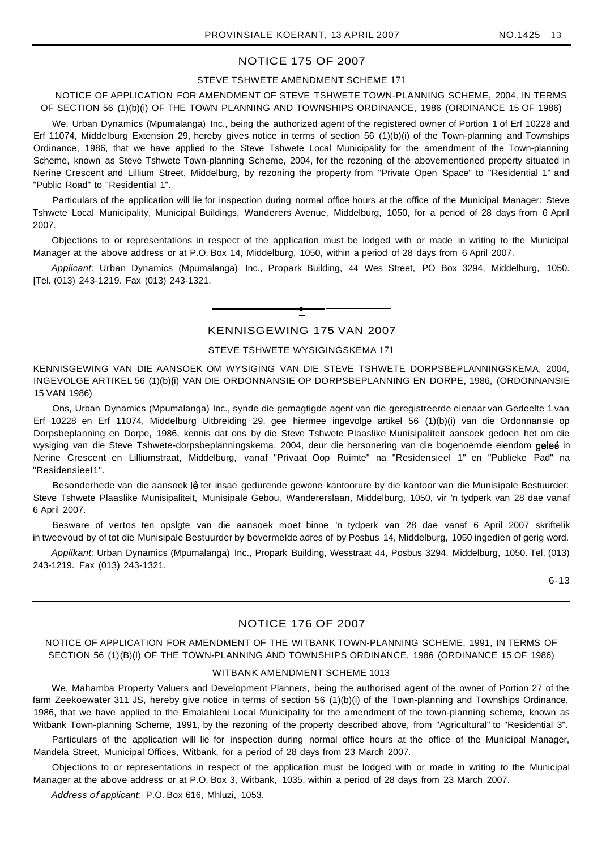## NOTICE 175 OF 2007

## STEVE TSHWETE AMENDMENT SCHEME 171

NOTICE OF APPLICATION FOR AMENDMENT OF STEVE TSHWETE TOWN-PLANNING SCHEME, 2004, IN TERMS OF SECTION 56 (1)(b)(i) OF THE TOWN PLANNING AND TOWNSHIPS ORDINANCE, 1986 (ORDINANCE 15 OF 1986)

We, Urban Dynamics (Mpumalanga) Inc., being the authorized agent of the registered owner of Portion 1 of Erf 10228 and Erf 11074, Middelburg Extension 29, hereby gives notice in terms of section 56 (1)(b)(i) of the Town-planning and Townships Ordinance, 1986, that we have applied to the Steve Tshwete Local Municipality for the amendment of the Town-planning Scheme, known as Steve Tshwete Town-planning Scheme, 2004, for the rezoning of the abovementioned property situated in Nerine Crescent and Lillium Street, Middelburg, by rezoning the property from "Private Open Space" to "Residential 1" and "Public Road" to "Residential 1".

Particulars of the application will lie for inspection during normal office hours at the office of the Municipal Manager: Steve Tshwete Local Municipality, Municipal Buildings, Wanderers Avenue, Middelburg, 1050, for a period of 28 days from 6 April 2007.

Objections to or representations in respect of the application must be lodged with or made in writing to the Municipal Manager at the above address or at P.O. Box 14, Middelburg, 1050, within a period of 28 days from 6 April 2007.

Applicant: Urban Dynamics (Mpumalanga) Inc., Propark Building, 44 Wes Street, PO Box 3294, Middelburg, 1050. [Tel. (013) 243-1219. Fax (013) 243-1321.

## KENNISGEWING 175 VAN 2007

**•**

#### STEVE TSHWETE WYSIGINGSKEMA 171

KENNISGEWING VAN DIE AANSOEK OM WYSIGING VAN DIE STEVE TSHWETE DORPSBEPLANNINGSKEMA, 2004, INGEVOLGE ARTIKEL 56 (1)(b){i) VAN DIE ORDONNANSIE OP DORPSBEPLANNING EN DORPE, 1986, (ORDONNANSIE 15 VAN 1986)

Ons, Urban Dynamics (Mpumalanga) Inc., synde die gemagtigde agent van die geregistreerde eienaar van Gedeelte 1 van Erf 10228 en Erf 11074, Middelburg Uitbreiding 29, gee hiermee ingevolge artikel 56 (1)(b)(i) van die Ordonnansie op Dorpsbeplanning en Dorpe, 1986, kennis dat ons by die Steve Tshwete Plaaslike Munisipaliteit aansoek gedoen het om die wysiging van die Steve Tshwete-dorpsbeplanningskema, 2004, deur die hersonering van die bogenoemde eiendom geleë in Nerine Crescent en Lilliumstraat, Middelburg, vanaf "Privaat Oop Ruimte" na "Residensieel 1" en "Publieke Pad" na "ResidensieeI1".

Besonderhede van die aansoek lê ter insae gedurende gewone kantoorure by die kantoor van die Munisipale Bestuurder: Steve Tshwete Plaaslike Munisipaliteit, Munisipale Gebou, Wandererslaan, Middelburg, 1050, vir 'n tydperk van 28 dae vanaf 6 April 2007.

Besware of vertos ten opslgte van die aansoek moet binne 'n tydperk van 28 dae vanaf 6 April 2007 skriftelik in tweevoud by of tot die Munisipale Bestuurder by bovermelde adres of by Posbus 14, Middelburg, 1050 ingedien of gerig word.

Applikant: Urban Dynamics (Mpumalanga) Inc., Propark Building, Wesstraat 44, Posbus 3294, Middelburg, 1050. Tel. (013) 243-1219. Fax (013) 243-1321.

6-13

## NOTICE 176 OF 2007

## NOTICE OF APPLICATION FOR AMENDMENT OF THE WITBANK TOWN-PLANNING SCHEME, 1991, IN TERMS OF SECTION 56 (1)(B)(I) OF THE TOWN-PLANNING AND TOWNSHIPS ORDINANCE, 1986 (ORDINANCE 15 OF 1986)

## WITBANK AMENDMENT SCHEME 1013

We, Mahamba Property Valuers and Development Planners, being the authorised agent of the owner of Portion 27 of the farm Zeekoewater 311 JS, hereby give notice in terms of section 56 (1)(b)(i) of the Town-planning and Townships Ordinance, 1986, that we have applied to the Emalahleni Local Municipality for the amendment of the town-planning scheme, known as Witbank Town-planning Scheme, 1991, by the rezoning of the property described above, from "Agricultural" to "Residential 3".

Particulars of the application will lie for inspection during normal office hours at the office of the Municipal Manager, Mandela Street, Municipal Offices, Witbank, for a period of 28 days from 23 March 2007.

Objections to or representations in respect of the application must be lodged with or made in writing to the Municipal Manager at the above address or at P.O. Box 3, Witbank, 1035, within a period of 28 days from 23 March 2007.

Address of applicant: P.O. Box 616, Mhluzi, 1053.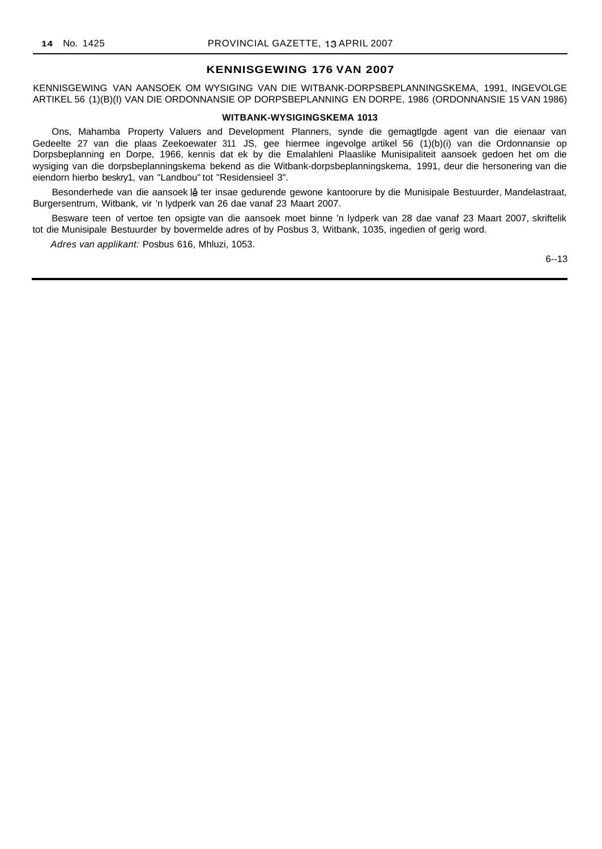## **KENNISGEWING 176 VAN 2007**

KENNISGEWING VAN AANSOEK OM WYSIGING VAN DIE WITBANK-DORPSBEPLANNINGSKEMA, 1991, INGEVOLGE ARTIKEL 56 (1)(B)(I) VAN DIE ORDONNANSIE OP DORPSBEPLANNING EN DORPE, 1986 (ORDONNANSIE 15 VAN 1986)

#### **WITBANK-WYSIGINGSKEMA 1013**

Ons, Mahamba Property Valuers and Development Planners, synde die gemagtlgde agent van die eienaar van Gedeelte 27 van die plaas Zeekoewater 311 JS, gee hiermee ingevolge artikel 56 (1)(b)(i) van die Ordonnansie op Dorpsbeplanning en Dorpe, 1966, kennis dat ek by die Emalahleni Plaaslike Munisipaliteit aansoek gedoen het om die wysiging van die dorpsbeplanningskema bekend as die Witbank-dorpsbeplanningskema, 1991, deur die hersonering van die eiendorn hierbo beskry1, van "Landbou" tot "Residensieel 3".

Besonderhede van die aansoek lê ter insae gedurende gewone kantoorure by die Munisipale Bestuurder, Mandelastraat, Burgersentrum, Witbank, vir 'n lydperk van 26 dae vanaf 23 Maart 2007.

Besware teen of vertoe ten opsigte van die aansoek moet binne 'n lydperk van 28 dae vanaf 23 Maart 2007, skriftelik tot die Munisipale Bestuurder by bovermelde adres of by Posbus 3, Witbank, 1035, ingedien of gerig word.

Adres van applikant: Posbus 616, Mhluzi, 1053.

6--13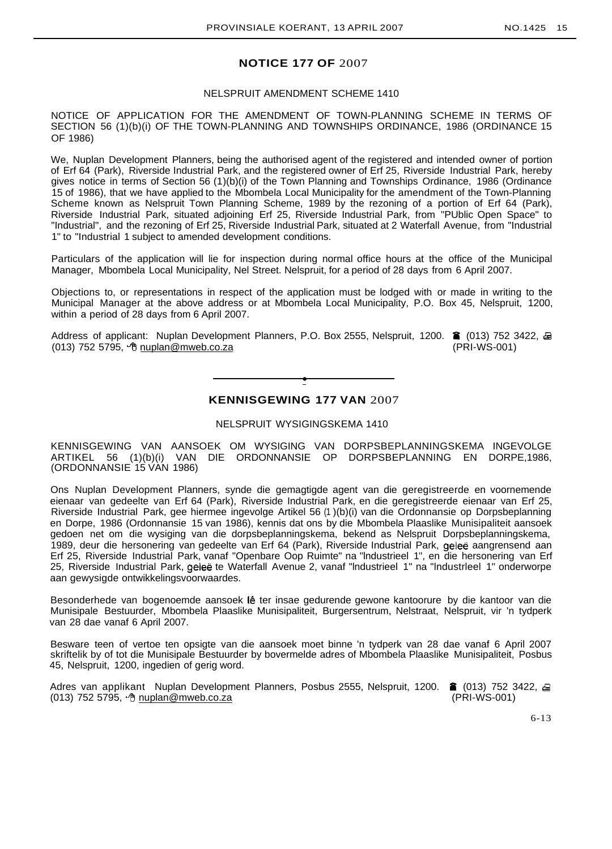## **NOTICE 177 OF** 2007

#### NELSPRUIT AMENDMENT SCHEME 1410

NOTICE OF APPLICATION FOR THE AMENDMENT OF TOWN-PLANNING SCHEME IN TERMS OF SECTION 56 (1)(b)(i) OF THE TOWN-PLANNING AND TOWNSHIPS ORDINANCE, 1986 (ORDINANCE 15 OF 1986)

We. Nuplan Development Planners, being the authorised agent of the registered and intended owner of portion of Erf 64 (Park), Riverside Industrial Park, and the registered owner of Erf 25, Riverside Industrial Park, hereby gives notice in terms of Section 56 (1)(b)(i) of the Town Planning and Townships Ordinance, 1986 (Ordinance 15 of 1986), that we have applied to the Mbombela Local Municipality for the amendment of the Town-Planning Scheme known as Nelspruit Town Planning Scheme, 1989 by the rezoning of a portion of Erf 64 (Park), Riverside Industrial Park, situated adjoining Erf 25, Riverside Industrial Park, from "PUblic Open Space" to "Industrial", and the rezoning of Erf 25, Riverside Industrial Park, situated at 2 Waterfall Avenue, from "Industrial 1" to "Industrial 1 subject to amended development conditions.

Particulars of the application will lie for inspection during normal office hours at the office of the Municipal Manager, Mbombela Local Municipality, Nel Street. Nelspruit, for a period of 28 days from 6 April 2007.

Objections to, or representations in respect of the application must be lodged with or made in writing to the Municipal Manager at the above address or at Mbombela Local Municipality, P.O. Box 45, Nelspruit, 1200, within a period of 28 days from 6 April 2007.

Address of applicant: Nuplan Development Planners, P.O. Box 2555, Nelspruit, 1200. ■ (013) 752 3422, 虽  $(013)$  752 5795,  $\sqrt[4]{\text{huplan}\,\text{@mweb.co.za}}$  (PRI-WS-001)

# **• KENNISGEWING 177 VAN** 2007

NELSPRUIT WYSIGINGSKEMA 1410

KENNISGEWING VAN AANSOEK OM WYSIGING VAN DORPSBEPLANNINGSKEMA INGEVOLGE ARTIKEL 56 (1)(b)(i) VAN DIE ORDONNANSIE OP DORPSBEPLANNING EN DORPE,1986, (ORDONNANSIE 15 VAN 1986)

Ons Nuplan Development Planners, synde die gemagtigde agent van die geregistreerde en voornemende eienaar van gedeelte van Erf 64 (Park), Riverside Industrial Park, en die geregistreerde eienaar van Erf 25, Riverside Industrial Park, gee hiermee ingevolge Artikel 56 (1 )(b)(i) van die Ordonnansie op Dorpsbeplanning en Dorpe, 1986 (Ordonnansie 15 van 1986), kennis dat ons by die Mbombela Plaaslike Munisipaliteit aansoek gedoen net om die wysiging van die dorpsbeplanningskema, bekend as Nelspruit Dorpsbeplanningskema, 1989, deur die hersonering van gedeelte van Erf 64 (Park), Riverside Industrial Park, gelee aangrensend aan Erf 25, Riverside Industrial Park, vanaf "Openbare Oop Ruimte" na "lndustrieel 1", en die hersonering van Erf 25, Riverside Industrial Park, geleë te Waterfall Avenue 2, vanaf "Industrieel 1" na "Industrieel 1" onderworpe aan gewysigde ontwikkelingsvoorwaardes.

Besonderhede van bogenoemde aansoek lê ter insae gedurende gewone kantoorure by die kantoor van die Munisipale Bestuurder, Mbombela Plaaslike Munisipaliteit, Burgersentrum, Nelstraat, Nelspruit, vir 'n tydperk van 28 dae vanaf 6 April 2007.

Besware teen of vertoe ten opsigte van die aansoek moet binne 'n tydperk van 28 dae vanaf 6 April 2007 skriftelik by of tot die Munisipale Bestuurder by bovermelde adres of Mbombela Plaaslike Munisipaliteit, Posbus 45, Nelspruit, 1200, ingedien of gerig word.

Adres van applikant Nuplan Development Planners, Posbus 2555, Nelspruit, 1200.  $\hat{a}$  (013) 752 3422,  $\hat{a}$ (013) 752 5795, b nuplan@mweb.co.za (013) 752 5795, b nuplan@mweb.co.za

6-13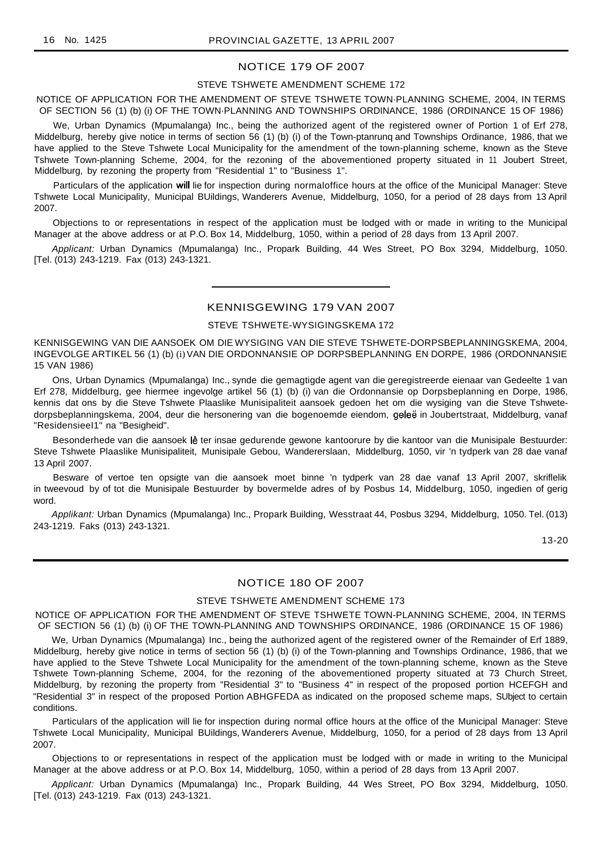### NOTICE 179 OF 2007

#### STEVE TSHWETE AMENDMENT SCHEME 172

NOTICE OF APPLICATION FOR THE AMENDMENT OF STEVE TSHWETE TOWN·PLANNING SCHEME, 2004, IN TERMS OF SECTION 56 (1) (b) (i) OF THE TOWN·PLANNING AND TOWNSHIPS ORDINANCE, 1986 (ORDINANCE 15 OF 1986)

We, Urban Dynamics (Mpumalanga) Inc., being the authorized agent of the registered owner of Portion 1 of Erf 278, Middelburg, hereby give notice in terms of section 56 (1) (b) (i) of the Town-ptanrunq and Townships Ordinance, 1986, that we have applied to the Steve Tshwete Local Municipality for the amendment of the town-planning scheme, known as the Steve Tshwete Town-planning Scheme, 2004, for the rezoning of the abovementioned property situated in 11 Joubert Street, Middelburg, by rezoning the property from "Residential 1" to "Business 1".

Particulars of the application will lie for inspection during normaloffice hours at the office of the Municipal Manager: Steve Tshwete Local Municipality, Municipal BUildings, Wanderers Avenue, Middelburg, 1050, for a period of 28 days from 13 April 2007.

Objections to or representations in respect of the application must be lodged with or made in writing to the Municipal Manager at the above address or at P.O. Box 14, Middelburg, 1050, within a period of 28 days from 13 April 2007.

Applicant: Urban Dynamics (Mpumalanga) Inc., Propark Building, 44 Wes Street, PO Box 3294, Middelburg, 1050. [Tel. (013) 243-1219. Fax (013) 243-1321.

## KENNISGEWING 179 VAN 2007

## STEVE TSHWETE-WYSIGINGSKEMA 172

KENNISGEWING VAN DIE AANSOEK OM DIE WYSIGING VAN DIE STEVE TSHWETE-DORPSBEPLANNINGSKEMA, 2004, INGEVOLGE ARTIKEL 56 (1) (b) (i) VAN DIE ORDONNANSIE OP DORPSBEPLANNING EN DORPE, 1986 (ORDONNANSIE 15 VAN 1986)

Ons, Urban Dynamics (Mpumalanga) Inc., synde die gemagtigde agent van die geregistreerde eienaar van Gedeelte 1 van Erf 278, Middelburg, gee hiermee ingevolge artikel 56 (1) (b) (i) van die Ordonnansie op Dorpsbeplanning en Dorpe, 1986, kennis dat ons by die Steve Tshwete Plaaslike Munisipaliteit aansoek gedoen het om die wysiging van die Steve Tshwetedorpsbeplanningskema, 2004, deur die hersonering van die bogenoemde eiendom, geleë in Joubertstraat, Middelburg, vanaf "ResidensieeI1" na "Besigheid".

Besonderhede van die aansoek lê ter insae gedurende gewone kantoorure by die kantoor van die Munisipale Bestuurder: Steve Tshwete Plaaslike Munisipaliteit, Munisipale Gebou, Wandererslaan, Middelburg, 1050, vir 'n tydperk van 28 dae vanaf 13 April 2007.

Besware of vertoe ten opsigte van die aansoek moet binne 'n tydperk van 28 dae vanaf 13 April 2007, skriflelik in tweevoud by of tot die Munisipale Bestuurder by bovermelde adres of by Posbus 14, Middelburg, 1050, ingedien of gerig word.

Applikant: Urban Dynamics (Mpumalanga) Inc., Propark Building, Wesstraat 44, Posbus 3294, Middelburg, 1050. Tel. (013) 243-1219. Faks (013) 243-1321.

13-20

## NOTICE 180 OF 2007

#### STEVE TSHWETE AMENDMENT SCHEME 173

NOTICE OF APPLICATION FOR THE AMENDMENT OF STEVE TSHWETE TOWN-PLANNING SCHEME, 2004, IN TERMS OF SECTION 56 (1) (b) (i) OF THE TOWN-PLANNING AND TOWNSHIPS ORDINANCE, 1986 (ORDINANCE 15 OF 1986)

We, Urban Dynamics (Mpumalanga) Inc., being the authorized agent of the registered owner of the Remainder of Erf 1889, Middelburg, hereby give notice in terms of section 56 (1) (b) (i) of the Town-planning and Townships Ordinance, 1986, that we have applied to the Steve Tshwete Local Municipality for the amendment of the town-planning scheme, known as the Steve Tshwete Town-planning Scheme, 2004, for the rezoning of the abovementioned property situated at 73 Church Street, Middelburg, by rezoning the property from "Residential 3" to "Business 4" in respect of the proposed portion HCEFGH and "Residential 3" in respect of the proposed Portion ABHGFEDA as indicated on the proposed scheme maps, SUbject to certain conditions.

Particulars of the application will lie for inspection during normal office hours at the office of the Municipal Manager: Steve Tshwete Local Municipality, Municipal BUildings, Wanderers Avenue, Middelburg, 1050, for a period of 28 days from 13 April 2007.

Objections to or representations in respect of the application must be lodged with or made in writing to the Municipal Manager at the above address or at P.O. Box 14, Middelburg, 1050, within a period of 28 days from 13 April 2007.

Applicant: Urban Dynamics (Mpumalanga) Inc., Propark Building, 44 Wes Street, PO Box 3294, Middelburg, 1050. [Tel. (013) 243-1219. Fax (013) 243-1321.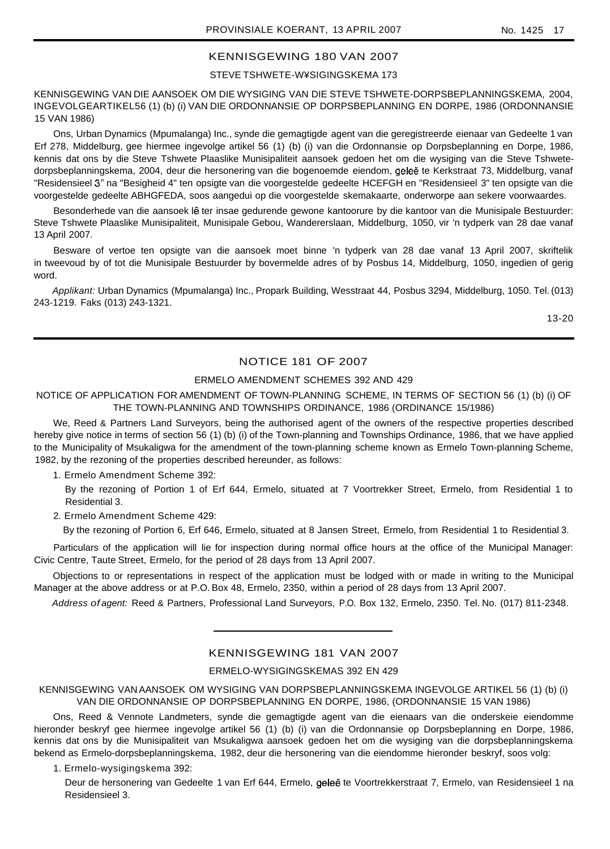# KENNISGEWING 180 VAN 2007

## STEVE TSHWETE-W¥SIGINGSKEMA 173

KENNISGEWING VAN DIE AANSOEK OM DIE WYSIGING VAN DIE STEVE TSHWETE-DORPSBEPLANNINGSKEMA, 2004, INGEVOLGEARTIKEL56 (1) (b) (i) VAN DIE ORDONNANSIE OP DORPSBEPLANNING EN DORPE, 1986 (ORDONNANSIE 15 VAN 1986)

Ons, Urban Dynamics (Mpumalanga) Inc., synde die gemagtigde agent van die geregistreerde eienaar van Gedeelte 1 van Erf 278, Middelburg, gee hiermee ingevolge artikel 56 (1) (b) (i) van die Ordonnansie op Dorpsbeplanning en Dorpe, 1986, kennis dat ons by die Steve Tshwete Plaaslike Munisipaliteit aansoek gedoen het om die wysiging van die Steve Tshwetedorpsbeplanningskema, 2004, deur die hersonering van die bogenoemde eiendom, geleë te Kerkstraat 73, Middelburg, vanaf "Residensieel 3" na "Besigheid 4" ten opsigte van die voorgestelde gedeelte HCEFGH en "Residensieel 3" ten opsigte van die voorgestelde gedeelte ABHGFEDA, soos aangedui op die voorgestelde skemakaarte, onderworpe aan sekere voorwaardes.

Besonderhede van die aansoek lê ter insae gedurende gewone kantoorure by die kantoor van die Munisipale Bestuurder: Steve Tshwete Plaaslike Munisipaliteit, Munisipale Gebou, Wandererslaan, Middelburg, 1050, vir 'n tydperk van 28 dae vanaf 13 April 2007.

Besware of vertoe ten opsigte van die aansoek moet binne 'n tydperk van 28 dae vanaf 13 April 2007, skriftelik in tweevoud by of tot die Munisipale Bestuurder by bovermelde adres of by Posbus 14, Middelburg, 1050, ingedien of gerig word.

Applikant: Urban Dynamics (Mpumalanga) Inc., Propark Building, Wesstraat 44, Posbus 3294, Middelburg, 1050. Tel. (013) 243-1219. Faks (013) 243-1321.

13-20

# NOTICE 181 OF 2007

## ERMELO AMENDMENT SCHEMES 392 AND 429

## NOTICE OF APPLICATION FOR AMENDMENT OF TOWN-PLANNING SCHEME, IN TERMS OF SECTION 56 (1) (b) (i) OF THE TOWN-PLANNING AND TOWNSHIPS ORDINANCE, 1986 (ORDINANCE 15/1986)

We, Reed & Partners Land Surveyors, being the authorised agent of the owners of the respective properties described hereby give notice in terms of section 56 (1) (b) (i) of the Town-planning and Townships Ordinance, 1986, that we have applied to the Municipality of Msukaligwa for the amendment of the town-planning scheme known as Ermelo Town-planning Scheme, 1982, by the rezoning of the properties described hereunder, as follows:

1. Ermelo Amendment Scheme 392:

By the rezoning of Portion 1 of Erf 644, Ermelo, situated at 7 Voortrekker Street, Ermelo, from Residential 1 to Residential 3.

2. Ermelo Amendment Scheme 429:

By the rezoning of Portion 6, Erf 646, Ermelo, situated at 8 Jansen Street, Ermelo, from Residential 1 to Residential 3.

Particulars of the application will lie for inspection during normal office hours at the office of the Municipal Manager: Civic Centre, Taute Street, Ermelo, for the period of 28 days from 13 April 2007.

Objections to or representations in respect of the application must be lodged with or made in writing to the Municipal Manager at the above address or at P.O. Box 48, Ermelo, 2350, within a period of 28 days from 13 April 2007.

Address of agent: Reed & Partners, Professional Land Surveyors, P.O. Box 132, Ermelo, 2350. Tel. No. (017) 811-2348.

## KENNISGEWING 181 VAN 2007

## ERMELO-WYSIGINGSKEMAS 392 EN 429

KENNISGEWING VAN AANSOEK OM WYSIGING VAN DORPSBEPLANNINGSKEMA INGEVOLGE ARTIKEL 56 (1) (b) (i) VAN DIE ORDONNANSIE OP DORPSBEPLANNING EN DORPE, 1986, (ORDONNANSIE 15 VAN 1986)

Ons, Reed & Vennote Landmeters, synde die gemagtigde agent van die eienaars van die onderskeie eiendomme hieronder beskryf gee hiermee ingevolge artikel 56 (1) (b) (i) van die Ordonnansie op Dorpsbeplanning en Dorpe, 1986, kennis dat ons by die Munisipaliteit van Msukaligwa aansoek gedoen het om die wysiging van die dorpsbeplanningskema bekend as Ermelo-dorpsbeplanningskema, 1982, deur die hersonering van die eiendomme hieronder beskryf, soos volg:

1. Ermelo-wysigingskema 392:

Deur de hersonering van Gedeelte 1 van Erf 644, Ermelo, geleë te Voortrekkerstraat 7, Ermelo, van Residensieel 1 na Residensieel 3.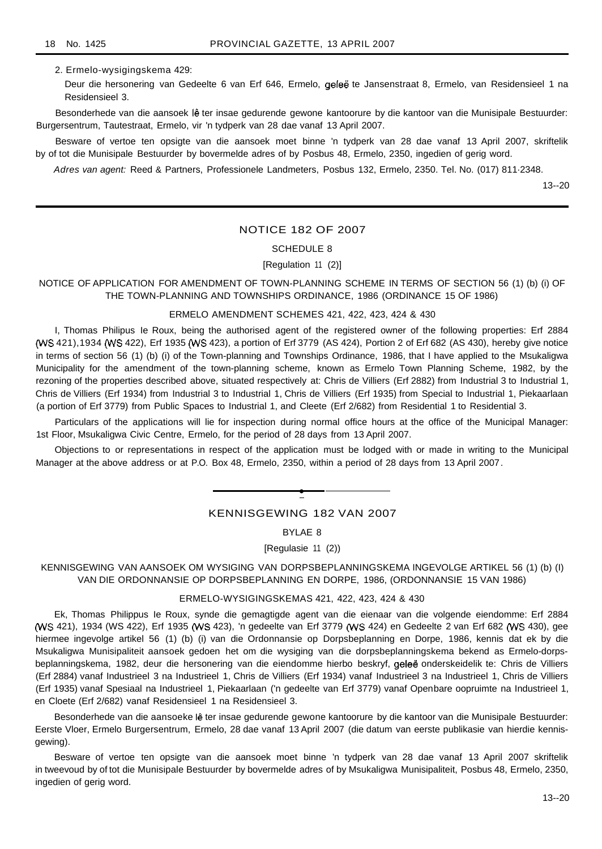2. Ermelo-wysigingskema 429:

Deur die hersonering van Gedeelte 6 van Erf 646, Ermelo, geleë te Jansenstraat 8, Ermelo, van Residensieel 1 na Residensieel 3.

Besonderhede van die aansoek lê ter insae gedurende gewone kantoorure by die kantoor van die Munisipale Bestuurder: Burgersentrum, Tautestraat, Ermelo, vir 'n tydperk van 28 dae vanaf 13 April 2007.

Besware of vertoe ten opsigte van die aansoek moet binne 'n tydperk van 28 dae vanaf 13 April 2007, skriftelik by of tot die Munisipale Bestuurder by bovermelde adres of by Posbus 48, Ermelo, 2350, ingedien of gerig word.

Adres van agent: Reed & Partners, Professionele Landmeters, Posbus 132, Ermelo, 2350. Tel. No. (017) 811·2348.

13--20

## NOTICE 182 OF 2007

#### SCHEDULE 8

[Regulation 11 (2)]

NOTICE OF APPLICATION FOR AMENDMENT OF TOWN-PLANNING SCHEME IN TERMS OF SECTION 56 (1) (b) (i) OF THE TOWN-PLANNING AND TOWNSHIPS ORDINANCE, 1986 (ORDINANCE 15 OF 1986)

## ERMELO AMENDMENT SCHEMES 421, 422, 423, 424 & 430

I, Thomas Philipus Ie Roux, being the authorised agent of the registered owner of the following properties: Erf 2884 (WS 421),1934 (WS 422), Erf 1935 (WS 423), a portion of Erf 3779 (AS 424), Portion 2 of Erf 682 (AS 430), hereby give notice in terms of section 56 (1) (b) (i) of the Town-planning and Townships Ordinance, 1986, that I have applied to the Msukaligwa Municipality for the amendment of the town-planning scheme, known as Ermelo Town Planning Scheme, 1982, by the rezoning of the properties described above, situated respectively at: Chris de Villiers (Erf 2882) from Industrial 3 to Industrial 1, Chris de Villiers (Erf 1934) from Industrial 3 to Industrial 1, Chris de Villiers (Erf 1935) from Special to Industrial 1, Piekaarlaan (a portion of Erf 3779) from Public Spaces to Industrial 1, and Cleete (Erf 2/682) from Residential 1 to Residential 3.

Particulars of the applications will lie for inspection during normal office hours at the office of the Municipal Manager: 1st Floor, Msukaligwa Civic Centre, Ermelo, for the period of 28 days from 13 April 2007.

Objections to or representations in respect of the application must be lodged with or made in writing to the Municipal Manager at the above address or at P.O. Box 48, Ermelo, 2350, within a period of 28 days from 13 April 2007.

# **•** KENNISGEWING 182 VAN 2007

BYLAE 8

[Regulasie 11 (2))

KENNISGEWING VAN AANSOEK OM WYSIGING VAN DORPSBEPLANNINGSKEMA INGEVOLGE ARTIKEL 56 (1) (b) (I) VAN DIE ORDONNANSIE OP DORPSBEPLANNING EN DORPE, 1986, (ORDONNANSIE 15 VAN 1986)

#### ERMELO-WYSIGINGSKEMAS 421, 422, 423, 424 & 430

Ek, Thomas Philippus Ie Roux, synde die gemagtigde agent van die eienaar van die volgende eiendomme: Erf 2884 (WS 421), 1934 (WS 422), Erf 1935 (WS 423), 'n gedeelte van Erf 3779 (WS 424) en Gedeelte 2 van Erf 682 (WS 430), gee hiermee ingevolge artikel 56 (1) (b) (i) van die Ordonnansie op Dorpsbeplanning en Dorpe, 1986, kennis dat ek by die Msukaligwa Munisipaliteit aansoek gedoen het om die wysiging van die dorpsbeplanningskema bekend as Ermelo-dorpsbeplanningskema, 1982, deur die hersonering van die eiendomme hierbo beskryf, gelee onderskeidelik te: Chris de Villiers (Erf 2884) vanaf Industrieel 3 na Industrieel 1, Chris de Villiers (Erf 1934) vanaf Industrieel 3 na Industrieel 1, Chris de Villiers (Erf 1935) vanaf Spesiaal na Industrieel 1, Piekaarlaan ('n gedeelte van Erf 3779) vanaf Openbare oopruimte na Industrieel 1, en Cloete (Erf 2/682) vanaf Residensieel 1 na Residensieel 3.

Besonderhede van die aansoeke lê ter insae gedurende gewone kantoorure by die kantoor van die Munisipale Bestuurder: Eerste Vloer, Ermelo Burgersentrum, Ermelo, 28 dae vanaf 13 April 2007 (die datum van eerste publikasie van hierdie kennisgewing).

Besware of vertoe ten opsigte van die aansoek moet binne 'n tydperk van 28 dae vanaf 13 April 2007 skriftelik in tweevoud by of tot die Munisipale Bestuurder by bovermelde adres of by Msukaligwa Munisipaliteit, Posbus 48, Ermelo, 2350, ingedien of gerig word.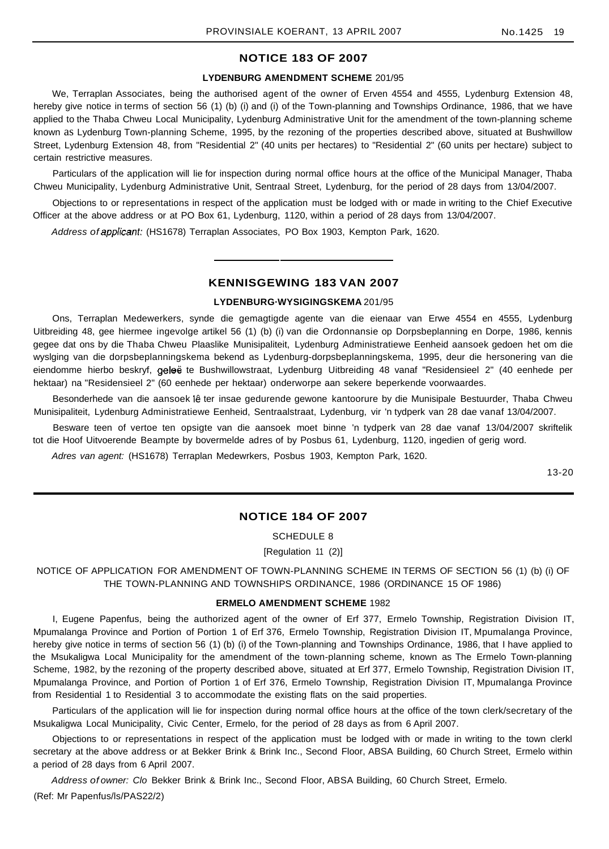# **NOTICE 183 OF 2007**

## **LYDENBURG AMENDMENT SCHEME** 201/95

We, Terraplan Associates, being the authorised agent of the owner of Erven 4554 and 4555, Lydenburg Extension 48, hereby give notice in terms of section 56 (1) (b) (i) and (i) of the Town-planning and Townships Ordinance, 1986, that we have applied to the Thaba Chweu Local Municipality, Lydenburg Administrative Unit for the amendment of the town-planning scheme known as Lydenburg Town-planning Scheme, 1995, by the rezoning of the properties described above, situated at Bushwillow Street, Lydenburg Extension 48, from "Residential 2" (40 units per hectares) to "Residential 2" (60 units per hectare) subject to certain restrictive measures.

Particulars of the application will lie for inspection during normal office hours at the office of the Municipal Manager, Thaba Chweu Municipality, Lydenburg Administrative Unit, Sentraal Street, Lydenburg, for the period of 28 days from 13/04/2007.

Objections to or representations in respect of the application must be lodged with or made in writing to the Chief Executive Officer at the above address or at PO Box 61, Lydenburg, 1120, within a period of 28 days from 13/04/2007.

Address of applicant: (HS1678) Terraplan Associates, PO Box 1903, Kempton Park, 1620.

## **KENNISGEWING 183 VAN 2007**

#### **LYDENBURG·WYSIGINGSKEMA** 201/95

Ons, Terraplan Medewerkers, synde die gemagtigde agente van die eienaar van Erwe 4554 en 4555, Lydenburg Uitbreiding 48, gee hiermee ingevolge artikel 56 (1) (b) (i) van die Ordonnansie op Dorpsbeplanning en Dorpe, 1986, kennis gegee dat ons by die Thaba Chweu Plaaslike Munisipaliteit, Lydenburg Administratiewe Eenheid aansoek gedoen het om die wyslging van die dorpsbeplanningskema bekend as Lydenburg-dorpsbeplanningskema, 1995, deur die hersonering van die eiendomme hierbo beskryf, geleë te Bushwillowstraat, Lydenburg Uitbreiding 48 vanaf "Residensieel 2" (40 eenhede per hektaar) na "Residensieel 2" (60 eenhede per hektaar) onderworpe aan sekere beperkende voorwaardes.

Besonderhede van die aansoek jê ter insae gedurende gewone kantoorure by die Munisipale Bestuurder, Thaba Chweu Munisipaliteit, Lydenburg Administratiewe Eenheid, Sentraalstraat, Lydenburg, vir 'n tydperk van 28 dae vanaf 13/04/2007.

Besware teen of vertoe ten opsigte van die aansoek moet binne 'n tydperk van 28 dae vanaf 13/04/2007 skriftelik tot die Hoof Uitvoerende Beampte by bovermelde adres of by Posbus 61, Lydenburg, 1120, ingedien of gerig word.

Adres van agent: (HS1678) Terraplan Medewrkers, Posbus 1903, Kempton Park, 1620.

13-20

#### **NOTICE 184 OF 2007**

SCHEDULE 8

[Regulation 11 (2)]

NOTICE OF APPLICATION FOR AMENDMENT OF TOWN-PLANNING SCHEME IN TERMS OF SECTION 56 (1) (b) (i) OF THE TOWN-PLANNING AND TOWNSHIPS ORDINANCE, 1986 (ORDINANCE 15 OF 1986)

#### **ERMELO AMENDMENT SCHEME** 1982

I, Eugene Papenfus, being the authorized agent of the owner of Erf 377, Ermelo Township, Registration Division IT, Mpumalanga Province and Portion of Portion 1 of Erf 376, Ermelo Township, Registration Division IT, Mpumalanga Province, hereby give notice in terms of section 56 (1) (b) (i) of the Town-planning and Townships Ordinance, 1986, that I have applied to the Msukaligwa Local Municipality for the amendment of the town-planning scheme, known as The Ermelo Town-planning Scheme, 1982, by the rezoning of the property described above, situated at Erf 377, Ermelo Township, Registration Division IT, Mpumalanga Province, and Portion of Portion 1 of Erf 376, Ermelo Township, Registration Division IT, Mpumalanga Province from Residential 1 to Residential 3 to accommodate the existing flats on the said properties.

Particulars of the application will lie for inspection during normal office hours at the office of the town clerk/secretary of the Msukaligwa Local Municipality, Civic Center, Ermelo, for the period of 28 days as from 6 April 2007.

Objections to or representations in respect of the application must be lodged with or made in writing to the town clerkl secretary at the above address or at Bekker Brink & Brink Inc., Second Floor, ABSA Building, 60 Church Street, Ermelo within a period of 28 days from 6 April 2007.

Address of owner: Clo Bekker Brink & Brink Inc., Second Floor, ABSA Building, 60 Church Street, Ermelo.

(Ref: Mr Papenfus/ls/PAS22/2)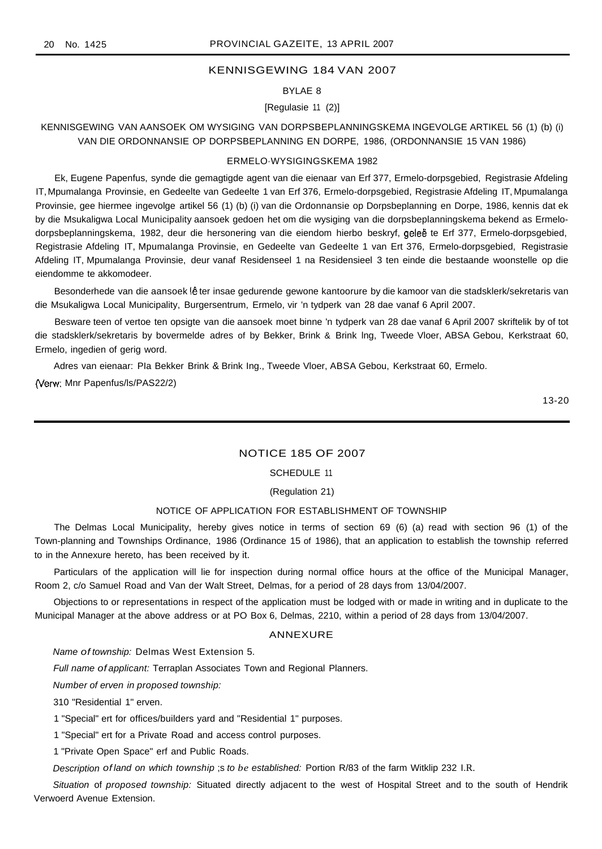## KENNISGEWING 184 VAN 2007

## BYLAE 8

## [Regulasie 11 (2)]

## KENNISGEWING VAN AANSOEK OM WYSIGING VAN DORPSBEPLANNINGSKEMA INGEVOLGE ARTIKEL 56 (1) (b) (i) VAN DIE ORDONNANSIE OP DORPSBEPLANNING EN DORPE, 1986, (ORDONNANSIE 15 VAN 1986)

#### ERMELO·WYSIGINGSKEMA 1982

Ek, Eugene Papenfus, synde die gemagtigde agent van die eienaar van Erf 377, Ermelo-dorpsgebied, Registrasie Afdeling IT,Mpumalanga Provinsie, en Gedeelte van Gedeelte 1 van Erf 376, Ermelo-dorpsgebied, Registrasie Afdeling IT, Mpumalanga Provinsie, gee hiermee ingevolge artikel 56 (1) (b) (i) van die Ordonnansie op Dorpsbeplanning en Dorpe, 1986, kennis dat ek by die Msukaligwa Local Municipality aansoek gedoen het om die wysiging van die dorpsbeplanningskema bekend as Ermelodorpsbeplanningskema, 1982, deur die hersonering van die eiendom hierbo beskryf, geleë te Erf 377, Ermelo-dorpsgebied, Registrasie Afdeling IT, Mpumalanga Provinsie, en Gedeelte van Gedeelte 1 van Ert 376, Ermelo-dorpsgebied, Registrasie Afdeling IT, Mpumalanga Provinsie, deur vanaf Residenseel 1 na Residensieel 3 ten einde die bestaande woonstelle op die eiendomme te akkomodeer.

Besonderhede van die aansoek lê ter insae gedurende gewone kantoorure by die kamoor van die stadsklerk/sekretaris van die Msukaligwa Local Municipality, Burgersentrum, Ermelo, vir 'n tydperk van 28 dae vanaf 6 April 2007.

Besware teen of vertoe ten opsigte van die aansoek moet binne 'n tydperk van 28 dae vanaf 6 April 2007 skriftelik by of tot die stadsklerk/sekretaris by bovermelde adres of by Bekker, Brink & Brink lng, Tweede Vloer, ABSA Gebou, Kerkstraat 60, Ermelo, ingedien of gerig word.

Adres van eienaar: PIa Bekker Brink & Brink Ing., Tweede Vloer, ABSA Gebou, Kerkstraat 60, Ermelo.

(Verw: Mnr Papenfus/Is/PAS22/2)

13-20

## NOTICE 185 OF 2007

#### SCHEDULE 11

#### (Regulation 21)

#### NOTICE OF APPLICATION FOR ESTABLISHMENT OF TOWNSHIP

The Delmas Local Municipality, hereby gives notice in terms of section 69 (6) (a) read with section 96 (1) of the Town-planning and Townships Ordinance, 1986 (Ordinance 15 of 1986), that an application to establish the township referred to in the Annexure hereto, has been received by it.

Particulars of the application will lie for inspection during normal office hours at the office of the Municipal Manager, Room 2, c/o Samuel Road and Van der Walt Street, Delmas, for a period of 28 days from 13/04/2007.

Objections to or representations in respect of the application must be lodged with or made in writing and in duplicate to the Municipal Manager at the above address or at PO Box 6, Delmas, 2210, within a period of 28 days from 13/04/2007.

#### ANNEXURE

Name of township: Delmas West Extension 5.

Full name of applicant: Terraplan Associates Town and Regional Planners.

Number of erven in proposed township:

310 "Residential 1" erven.

1 "Special" ert for offices/builders yard and "Residential 1" purposes.

1 "Special" ert for a Private Road and access control purposes.

1 "Private Open Space" erf and Public Roads.

Description of land on which township ;s to *be* established: Portion R/83 of the farm Witklip 232 I.R.

Situation of proposed township: Situated directly adjacent to the west of Hospital Street and to the south of Hendrik Verwoerd Avenue Extension.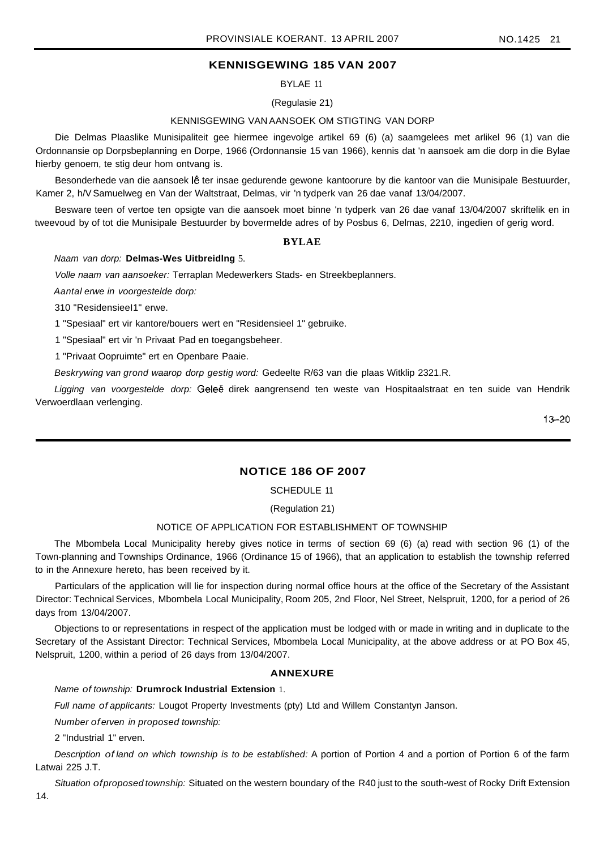# **KENNISGEWING 185 VAN 2007**

BYLAE 11

## (Regulasie 21)

## KENNISGEWING VAN AANSOEK OM STIGTING VAN DORP

Die Delmas Plaaslike Munisipaliteit gee hiermee ingevolge artikel 69 (6) (a) saamgelees met arlikel 96 (1) van die Ordonnansie op Dorpsbeplanning en Dorpe, 1966 (Ordonnansie 15 van 1966), kennis dat 'n aansoek am die dorp in die Bylae hierby genoem, te stig deur hom ontvang is.

Besonderhede van die aansoek Ie ter insae gedurende gewone kantoorure by die kantoor van die Munisipale Bestuurder, Kamer 2, h/V Samuelweg en Van der Waltstraat, Delmas, vir 'n tydperk van 26 dae vanaf 13/04/2007.

Besware teen of vertoe ten opsigte van die aansoek moet binne 'n tydperk van 26 dae vanaf 13/04/2007 skriftelik en in tweevoud by of tot die Munisipale Bestuurder by bovermelde adres of by Posbus 6, Delmas, 2210, ingedien of gerig word.

#### **BYLAE**

#### Naam van dorp: **Delmas-Wes Uitbreidlng** 5.

Volle naam van aansoeker: Terraplan Medewerkers Stads- en Streekbeplanners.

Aantal erwe in voorgestelde dorp:

310 "ResidensieeI1" erwe.

1 "Spesiaal" ert vir kantore/bouers wert en "Residensieel 1" gebruike.

1 "Spesiaal" ert vir 'n Privaat Pad en toegangsbeheer.

1 "Privaat Oopruimte" ert en Openbare Paaie.

Beskrywing van grond waarop dorp gestig word: Gedeelte R/63 van die plaas Witklip 2321.R.

Ligging van voorgestelde dorp: Geleë direk aangrensend ten weste van Hospitaalstraat en ten suide van Hendrik Verwoerdlaan verlenging.

 $13 - 20$ 

## **NOTICE 186 OF 2007**

## SCHEDULE 11

(Regulation 21)

#### NOTICE OF APPLICATION FOR ESTABLISHMENT OF TOWNSHIP

The Mbombela Local Municipality hereby gives notice in terms of section 69 (6) (a) read with section 96 (1) of the Town-planning and Townships Ordinance, 1966 (Ordinance 15 of 1966), that an application to establish the township referred to in the Annexure hereto, has been received by it.

Particulars of the application will lie for inspection during normal office hours at the office of the Secretary of the Assistant Director: Technical Services, Mbombela Local Municipality, Room 205, 2nd Floor, Nel Street, Nelspruit, 1200, for a period of 26 days from 13/04/2007.

Objections to or representations in respect of the application must be lodged with or made in writing and in duplicate to the Secretary of the Assistant Director: Technical Services, Mbombela Local Municipality, at the above address or at PO Box 45, Nelspruit, 1200, within a period of 26 days from 13/04/2007.

## **ANNEXURE**

Name of township: **Drumrock Industrial Extension** 1.

Full name of applicants: Lougot Property Investments (pty) Ltd and Willem Constantyn Janson.

Number of erven in proposed township:

2 "Industrial 1" erven.

Description of land on which township is to be established: A portion of Portion 4 and a portion of Portion 6 of the farm Latwai 225 J.T.

Situation of proposed township: Situated on the western boundary of the R40 just to the south-west of Rocky Drift Extension

14.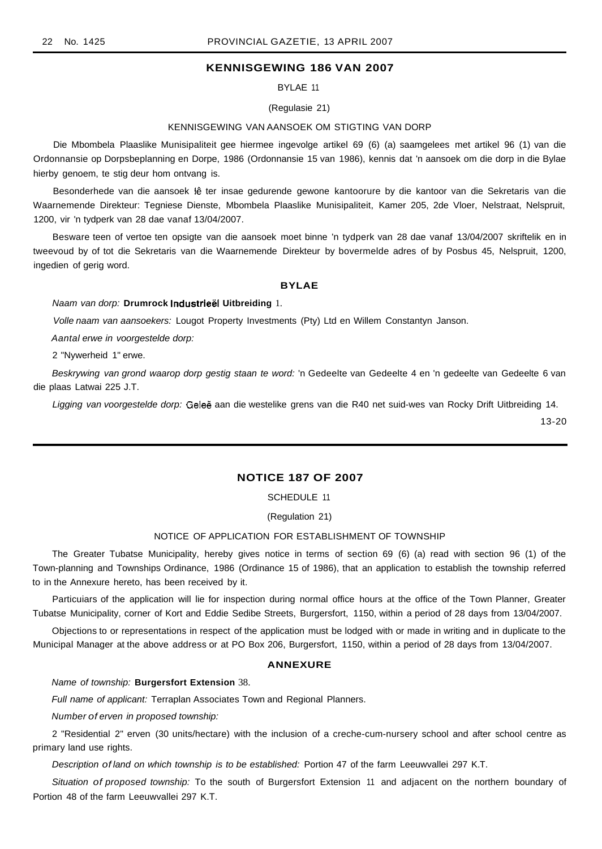## **KENNISGEWING 186 VAN 2007**

BYLAE 11

#### (Regulasie 21)

#### KENNISGEWING VAN AANSOEK OM STIGTING VAN DORP

Die Mbombela Plaaslike Munisipaliteit gee hiermee ingevolge artikel 69 (6) (a) saamgelees met artikel 96 (1) van die Ordonnansie op Dorpsbeplanning en Dorpe, 1986 (Ordonnansie 15 van 1986), kennis dat 'n aansoek om die dorp in die Bylae hierby genoem, te stig deur hom ontvang is.

Besonderhede van die aansoek Iê ter insae gedurende gewone kantoorure by die kantoor van die Sekretaris van die Waarnemende Direkteur: Tegniese Dienste, Mbombela Plaaslike Munisipaliteit, Kamer 205, 2de Vloer, Nelstraat, Nelspruit, 1200, vir 'n tydperk van 28 dae vanaf 13/04/2007.

Besware teen of vertoe ten opsigte van die aansoek moet binne 'n tydperk van 28 dae vanaf 13/04/2007 skriftelik en in tweevoud by of tot die Sekretaris van die Waarnemende Direkteur by bovermelde adres of by Posbus 45, Nelspruit, 1200, ingedien of gerig word.

#### **BYLAE**

#### Naam van dorp: **Drumrock IndustrleEil Uitbreiding** 1.

Volle naam van aansoekers: Lougot Property Investments (Pty) Ltd en Willem Constantyn Janson.

Aantal erwe in voorgestelde dorp:

2 "Nywerheid 1" erwe.

Beskrywing van grond waarop dorp gestig staan te word: 'n Gedeelte van Gedeelte 4 en 'n gedeelte van Gedeelte 6 van die plaas Latwai 225 J.T.

Ligging van voorgestelde dorp: Geleë aan die westelike grens van die R40 net suid-wes van Rocky Drift Uitbreiding 14.

13-20

## **NOTICE 187 OF 2007**

SCHEDULE 11

(Regulation 21)

#### NOTICE OF APPLICATION FOR ESTABLISHMENT OF TOWNSHIP

The Greater Tubatse Municipality, hereby gives notice in terms of section 69 (6) (a) read with section 96 (1) of the Town-planning and Townships Ordinance, 1986 (Ordinance 15 of 1986), that an application to establish the township referred to in the Annexure hereto, has been received by it.

Particuiars of the application will lie for inspection during normal office hours at the office of the Town Planner, Greater Tubatse Municipality, corner of Kort and Eddie Sedibe Streets, Burgersfort, 1150, within a period of 28 days from 13/04/2007.

Objections to or representations in respect of the application must be lodged with or made in writing and in duplicate to the Municipal Manager at the above address or at PO Box 206, Burgersfort, 1150, within a period of 28 days from 13/04/2007.

#### **ANNEXURE**

Name of township: **Burgersfort Extension** 38.

Full name of applicant: Terraplan Associates Town and Regional Planners.

Number of erven in proposed township:

2 "Residential 2" erven (30 units/hectare) with the inclusion of a creche-cum-nursery school and after school centre as primary land use rights.

Description of land on which township is to be established: Portion 47 of the farm Leeuwvallei 297 K.T.

Situation of proposed township: To the south of Burgersfort Extension 11 and adjacent on the northern boundary of Portion 48 of the farm Leeuwvallei 297 K.T.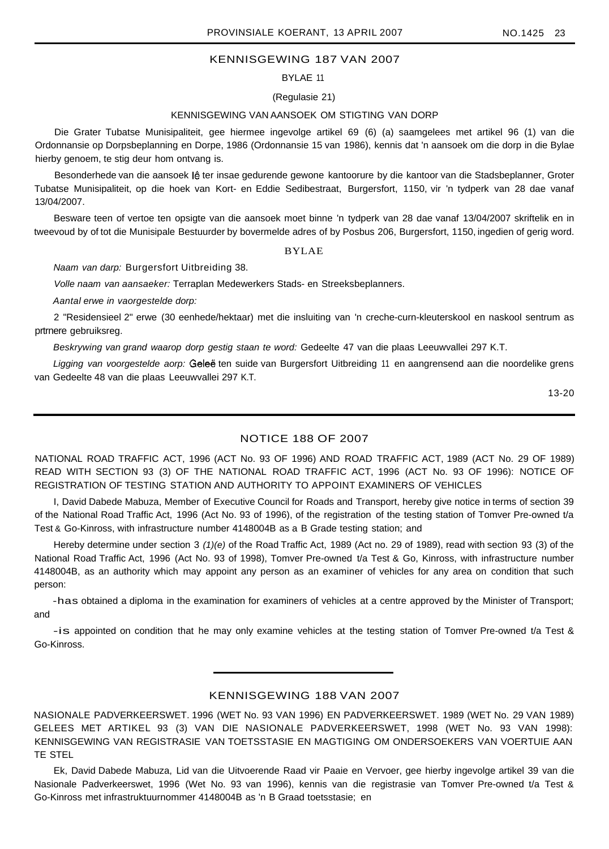# KENNISGEWING 187 VAN 2007

BYLAE 11

(Regulasie 21)

#### KENNISGEWING VAN AANSOEK OM STIGTING VAN DORP

Die Grater Tubatse Munisipaliteit, gee hiermee ingevolge artikel 69 (6) (a) saamgelees met artikel 96 (1) van die Ordonnansie op Dorpsbeplanning en Dorpe, 1986 (Ordonnansie 15 van 1986), kennis dat 'n aansoek om die dorp in die Bylae hierby genoem, te stig deur hom ontvang is.

Besonderhede van die aansoek lê ter insae gedurende gewone kantoorure by die kantoor van die Stadsbeplanner, Groter Tubatse Munisipaliteit, op die hoek van Kort- en Eddie Sedibestraat, Burgersfort, 1150, vir 'n tydperk van 28 dae vanaf 13/04/2007.

Besware teen of vertoe ten opsigte van die aansoek moet binne 'n tydperk van 28 dae vanaf 13/04/2007 skriftelik en in tweevoud by of tot die Munisipale Bestuurder by bovermelde adres of by Posbus 206, Burgersfort, 1150, ingedien of gerig word.

## BYLAE

Naam van darp: Burgersfort Uitbreiding 38.

Volle naam van aansaeker: Terraplan Medewerkers Stads- en Streeksbeplanners.

Aantal erwe in vaorgestelde dorp:

2 "Residensieel 2" erwe (30 eenhede/hektaar) met die insluiting van 'n creche-curn-kleuterskool en naskool sentrum as prtrnere gebruiksreg.

Beskrywing van grand waarop dorp gestig staan te word: Gedeelte 47 van die plaas Leeuwvallei 297 K.T.

Ligging van voorgestelde aorp: Geleë ten suide van Burgersfort Uitbreiding 11 en aangrensend aan die noordelike grens van Gedeelte 48 van die plaas Leeuwvallei 297 K.T.

13-20

## NOTICE 188 OF 2007

NATIONAL ROAD TRAFFIC ACT, 1996 (ACT No. 93 OF 1996) AND ROAD TRAFFIC ACT, 1989 (ACT No. 29 OF 1989) READ WITH SECTION 93 (3) OF THE NATIONAL ROAD TRAFFIC ACT, 1996 (ACT No. 93 OF 1996): NOTICE OF REGISTRATION OF TESTING STATION AND AUTHORITY TO APPOINT EXAMINERS OF VEHICLES

I, David Dabede Mabuza, Member of Executive Council for Roads and Transport, hereby give notice in terms of section 39 of the National Road Traffic Act, 1996 (Act No. 93 of 1996), of the registration of the testing station of Tomver Pre-owned t/a Test & Go-Kinross, with infrastructure number 4148004B as a B Grade testing station; and

Hereby determine under section 3 (1)(e) of the Road Traffic Act, 1989 (Act no. 29 of 1989), read with section 93 (3) of the National Road Traffic Act, 1996 (Act No. 93 of 1998), Tomver Pre-owned t/a Test & Go, Kinross, with infrastructure number 4148004B, as an authority which may appoint any person as an examiner of vehicles for any area on condition that such person:

-has obtained a diploma in the examination for examiners of vehicles at a centre approved by the Minister of Transport; and

-is appointed on condition that he may only examine vehicles at the testing station of Tomver Pre-owned t/a Test & Go-Kinross.

## KENNISGEWING 188 VAN 2007

NASIONALE PADVERKEERSWET. 1996 (WET No. 93 VAN 1996) EN PADVERKEERSWET. 1989 (WET No. 29 VAN 1989) GELEES MET ARTIKEL 93 (3) VAN DIE NASIONALE PADVERKEERSWET, 1998 (WET No. 93 VAN 1998): KENNISGEWING VAN REGISTRASIE VAN TOETSSTASIE EN MAGTIGING OM ONDERSOEKERS VAN VOERTUIE AAN TE STEL

Ek, David Dabede Mabuza, Lid van die Uitvoerende Raad vir Paaie en Vervoer, gee hierby ingevolge artikel 39 van die Nasionale Padverkeerswet, 1996 (Wet No. 93 van 1996), kennis van die registrasie van Tomver Pre-owned t/a Test & Go-Kinross met infrastruktuurnommer 4148004B as 'n B Graad toetsstasie; en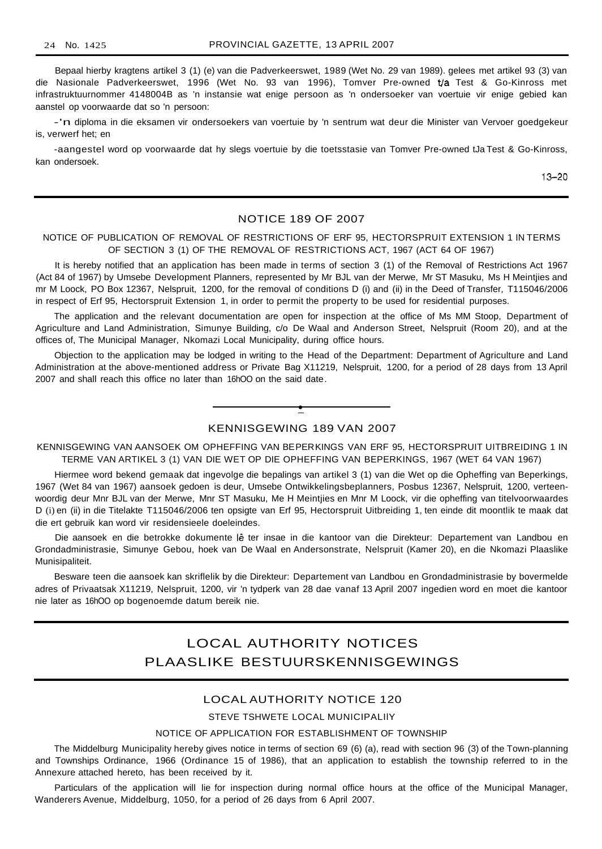Bepaal hierby kragtens artikel 3 (1) (e) van die Padverkeerswet, 1989 (Wet No. 29 van 1989). gelees met artikel 93 (3) van die Nasionale Padverkeerswet, 1996 (Wet No. 93 van 1996), Tomver Pre-owned Va Test & Go-Kinross met infrastruktuurnommer 4148004B as 'n instansie wat enige persoon as 'n ondersoeker van voertuie vir enige gebied kan aanstel op voorwaarde dat so 'n persoon:

-'n diploma in die eksamen vir ondersoekers van voertuie by 'n sentrum wat deur die Minister van Vervoer goedgekeur is, verwerf het; en

-aangestel word op voorwaarde dat hy slegs voertuie by die toetsstasie van Tomver Pre-owned tJa Test & Go-Kinross, kan ondersoek.

13-20

## NOTICE 189 OF 2007

## NOTICE OF PUBLICATION OF REMOVAL OF RESTRICTIONS OF ERF 95, HECTORSPRUIT EXTENSION 1 IN TERMS OF SECTION 3 (1) OF THE REMOVAL OF RESTRICTIONS ACT, 1967 (ACT 64 OF 1967)

It is hereby notified that an application has been made in terms of section 3 (1) of the Removal of Restrictions Act 1967 (Act 84 of 1967) by Umsebe Development Planners, represented by Mr BJL van der Merwe, Mr ST Masuku, Ms H Meintjies and mr M Loock, PO Box 12367, Nelspruit, 1200, for the removal of conditions D (i) and (ii) in the Deed of Transfer, T115046/2006 in respect of Erf 95, Hectorspruit Extension 1, in order to permit the property to be used for residential purposes.

The application and the relevant documentation are open for inspection at the office of Ms MM Stoop, Department of Agriculture and Land Administration, Simunye Building, c/o De Waal and Anderson Street, Nelspruit (Room 20), and at the offices of, The Municipal Manager, Nkomazi Local Municipality, during office hours.

Objection to the application may be lodged in writing to the Head of the Department: Department of Agriculture and Land Administration at the above-mentioned address or Private Bag X11219, Nelspruit, 1200, for a period of 28 days from 13 April 2007 and shall reach this office no later than 16hOO on the said date.



KENNISGEWING VAN AANSOEK OM OPHEFFING VAN BEPERKINGS VAN ERF 95, HECTORSPRUIT UITBREIDING 1 IN TERME VAN ARTIKEL 3 (1) VAN DIE WET OP DIE OPHEFFING VAN BEPERKINGS, 1967 (WET 64 VAN 1967)

Hiermee word bekend gemaak dat ingevolge die bepalings van artikel 3 (1) van die Wet op die Opheffing van Beperkings, 1967 (Wet 84 van 1967) aansoek gedoen is deur, Umsebe Ontwikkelingsbeplanners, Posbus 12367, Nelspruit, 1200, verteenwoordig deur Mnr BJL van der Merwe, Mnr ST Masuku, Me H Meintjies en Mnr M Loock, vir die opheffing van titelvoorwaardes D (i) en (ii) in die Titelakte T115046/2006 ten opsigte van Erf 95, Hectorspruit Uitbreiding 1, ten einde dit moontlik te maak dat die ert gebruik kan word vir residensieele doeleindes.

Die aansoek en die betrokke dokumente lê ter insae in die kantoor van die Direkteur: Departement van Landbou en Grondadministrasie, Simunye Gebou, hoek van De Waal en Andersonstrate, Nelspruit (Kamer 20), en die Nkomazi Plaaslike Munisipaliteit.

Besware teen die aansoek kan skriflelik by die Direkteur: Departement van Landbou en Grondadministrasie by bovermelde adres of Privaatsak X11219, Nelspruit, 1200, vir 'n tydperk van 28 dae vanaf 13 April 2007 ingedien word en moet die kantoor nie later as 16hOO op bogenoemde datum bereik nie.

# LOCAL AUTHORITY NOTICES PLAASLIKE BESTUURSKENNISGEWINGS

## LOCAL AUTHORITY NOTICE 120

## STEVE TSHWETE LOCAL MUNICIPALIIY

#### NOTICE OF APPLICATION FOR ESTABLISHMENT OF TOWNSHIP

The Middelburg Municipality hereby gives notice in terms of section 69 (6) (a), read with section 96 (3) of the Town-planning and Townships Ordinance, 1966 (Ordinance 15 of 1986), that an application to establish the township referred to in the Annexure attached hereto, has been received by it.

Particulars of the application will lie for inspection during normal office hours at the office of the Municipal Manager, Wanderers Avenue, Middelburg, 1050, for a period of 26 days from 6 April 2007.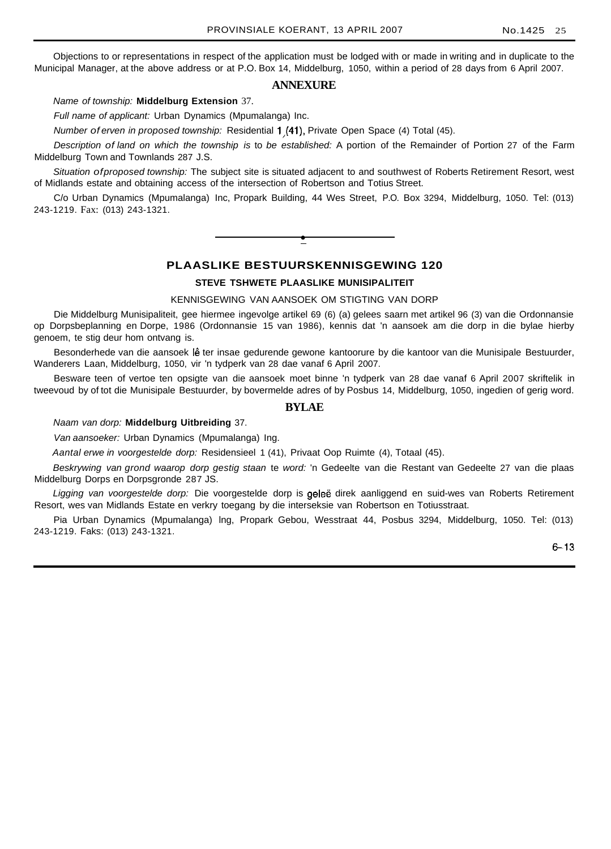Objections to or representations in respect of the application must be lodged with or made in writing and in duplicate to the Municipal Manager, at the above address or at P.O. Box 14, Middelburg, 1050, within a period of 28 days from 6 April 2007.

## **ANNEXURE**

Name of township: **Middelburg Extension** 37.

Full name of applicant: Urban Dynamics (Mpumalanga) Inc.

Number of erven in proposed township: Residential 1,(41), Private Open Space (4) Total (45).

Description of land on which the township is to be established: A portion of the Remainder of Portion 27 of the Farm Middelburg Town and Townlands 287 J.S.

Situation of proposed township: The subject site is situated adjacent to and southwest of Roberts Retirement Resort, west of Midlands estate and obtaining access of the intersection of Robertson and Totius Street.

C/o Urban Dynamics (Mpumalanga) Inc, Propark Building, 44 Wes Street, P.O. Box 3294, Middelburg, 1050. Tel: (013) 243-1219. Fax: (013) 243-1321.

**•**

# **PLAASLIKE BESTUURSKENNISGEWING 120**

#### **STEVE TSHWETE PLAASLIKE MUNISIPALITEIT**

KENNISGEWING VAN AANSOEK OM STIGTING VAN DORP

Die Middelburg Munisipaliteit, gee hiermee ingevolge artikel 69 (6) (a) gelees saarn met artikel 96 (3) van die Ordonnansie op Dorpsbeplanning en Dorpe, 1986 (Ordonnansie 15 van 1986), kennis dat 'n aansoek am die dorp in die bylae hierby genoem, te stig deur hom ontvang is.

Besonderhede van die aansoek lê ter insae gedurende gewone kantoorure by die kantoor van die Munisipale Bestuurder, Wanderers Laan, Middelburg, 1050, vir 'n tydperk van 28 dae vanaf 6 April 2007.

Besware teen of vertoe ten opsigte van die aansoek moet binne 'n tydperk van 28 dae vanaf 6 April 2007 skriftelik in tweevoud by of tot die Munisipale Bestuurder, by bovermelde adres of by Posbus 14, Middelburg, 1050, ingedien of gerig word.

## **BYLAE**

Naam van dorp: **Middelburg Uitbreiding** 37.

Van aansoeker: Urban Dynamics (Mpumalanga) Ing.

Aantal erwe in voorgestelde dorp: Residensieel 1 (41), Privaat Oop Ruimte (4), Totaal (45).

Beskrywing van grond waarop dorp gestig staan te word: 'n Gedeelte van die Restant van Gedeelte 27 van die plaas Middelburg Dorps en Dorpsgronde 287 JS.

Ligging van voorgestelde dorp: Die voorgestelde dorp is geleë direk aanliggend en suid-wes van Roberts Retirement Resort, wes van Midlands Estate en verkry toegang by die interseksie van Robertson en Totiusstraat.

Pia Urban Dynamics (Mpumalanga) lng, Propark Gebou, Wesstraat 44, Posbus 3294, Middelburg, 1050. Tel: (013) 243-1219. Faks: (013) 243-1321.

6-13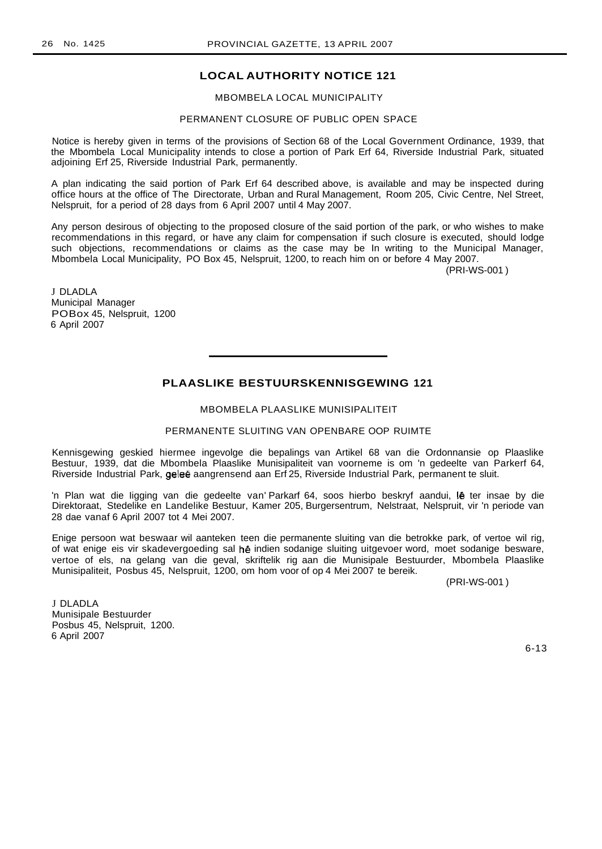MBOMBELA LOCAL MUNICIPALITY

## PERMANENT CLOSURE OF PUBLIC OPEN SPACE

Notice is hereby given in terms of the provisions of Section 68 of the Local Government Ordinance, 1939, that the Mbombela Local Municipality intends to close a portion of Park Erf 64, Riverside Industrial Park, situated adjoining Erf 25, Riverside Industrial Park, permanently.

A plan indicating the said portion of Park Erf 64 described above, is available and may be inspected during office hours at the office of The Directorate, Urban and Rural Management, Room 205, Civic Centre, Nel Street, Nelspruit, for a period of 28 days from 6 April 2007 until 4 May 2007.

Any person desirous of objecting to the proposed closure of the said portion of the park, or who wishes to make recommendations in this regard, or have any claim for compensation if such closure is executed, should lodge such objections, recommendations or claims as the case may be In writing to the Municipal Manager, Mbombela Local Municipality, PO Box 45, Nelspruit, 1200, to reach him on or before 4 May 2007.

(PRI-WS-001 )

J DLADLA Municipal Manager POBox 45, Nelspruit, 1200 6 April 2007

## **PLAASLIKE BESTUURSKENNISGEWING 121**

#### MBOMBELA PLAASLIKE MUNISIPALITEIT

#### PERMANENTE SLUITING VAN OPENBARE OOP RUIMTE

Kennisgewing geskied hiermee ingevolge die bepalings van Artikel 68 van die Ordonnansie op Plaaslike Bestuur, 1939, dat die Mbombela Plaaslike Munisipaliteit van voorneme is om 'n gedeelte van Parkerf 64, Riverside Industrial Park, gelee aangrensend aan Erf 25, Riverside Industrial Park, permanent te sluit.

'n Plan wat die Iigging van die gedeelte van' Parkarf 64, soos hierbo beskryf aandui, Ie ter insae by die Direktoraat, Stedelike en Landelike Bestuur, Kamer 205, Burgersentrum, Nelstraat, Nelspruit, vir 'n periode van 28 dae vanaf 6 April 2007 tot 4 Mei 2007.

Enige persoon wat beswaar wil aanteken teen die permanente sluiting van die betrokke park, of vertoe wil rig, of wat enige eis vir skadevergoeding sal hê indien sodanige sluiting uitgevoer word, moet sodanige besware, vertoe of els, na gelang van die geval, skriftelik rig aan die Munisipale Bestuurder, Mbombela Plaaslike Munisipaliteit, Posbus 45, Nelspruit, 1200, om hom voor of op 4 Mei 2007 te bereik.

(PRI-WS-001 )

J DLADLA Munisipale Bestuurder Posbus 45, Nelspruit, 1200. 6 April 2007

6-13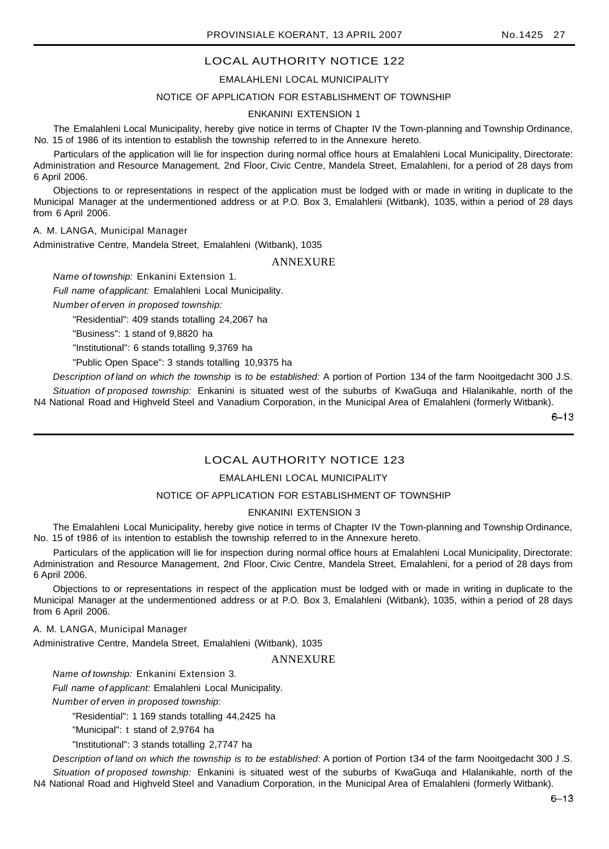## EMALAHLENI LOCAL MUNICIPALITY

#### NOTICE OF APPLICATION FOR ESTABLISHMENT OF TOWNSHIP

## ENKANINI EXTENSION 1

The Emalahleni Local Municipality, hereby give notice in terms of Chapter IV the Town-planning and Township Ordinance, No. 15 of 1986 of its intention to establish the township referred to in the Annexure hereto.

Particulars of the application will lie for inspection during normal office hours at Emalahleni Local Municipality, Directorate: Administration and Resource Management, 2nd Floor, Civic Centre, Mandela Street, Emalahleni, for a period of 28 days from 6 April 2006.

Objections to or representations in respect of the application must be lodged with or made in writing in duplicate to the Municipal Manager at the undermentioned address or at P.O. Box 3, Emalahleni (Witbank), 1035, within a period of 28 days from 6 April 2006.

#### A. M. LANGA, Municipal Manager

Administrative Centre, Mandela Street, Emalahleni (Witbank), 1035

#### ANNEXURE

Name of township: Enkanini Extension 1.

Full name of applicant: Emalahleni Local Municipality.

Number of erven in proposed township:

"Residential": 409 stands totalling 24,2067 ha

"Business": 1 stand of 9,8820 ha

"Institutional": 6 stands totalling 9,3769 ha

"Public Open Space": 3 stands totalling 10,9375 ha

Description of land on which the township is to be established: A portion of Portion 134 of the farm Nooitgedacht 300 J.S.

Situation of proposed township: Enkanini is situated west of the suburbs of KwaGuga and Hlalanikahle, north of the N4 National Road and Highveld Steel and Vanadium Corporation, in the Municipal Area of Emalahleni (formerly Witbank).

 $6 - 13$ 

# LOCAL AUTHORITY NOTICE 123

## EMALAHLENI LOCAL MUNICIPALITY

## NOTICE OF APPLICATION FOR ESTABLISHMENT OF TOWNSHIP

#### ENKANINI EXTENSION 3

The Emalahleni Local Municipality, hereby give notice in terms of Chapter IV the Town-planning and Township Ordinance, No. 15 of t986 of its intention to establish the township referred to in the Annexure hereto.

Particulars of the application will lie for inspection during normal office hours at Emalahleni Local Municipality, Directorate: Administration and Resource Management, 2nd Floor, Civic Centre, Mandela Street, Emalahleni, for a period of 28 days from 6 April 2006.

Objections to or representations in respect of the application must be lodged with or made in writing in duplicate to the Municipal Manager at the undermentioned address or at P.O. Box 3, Emalahleni (Witbank), 1035, within a period of 28 days from 6 April 2006.

A. M. LANGA, Municipal Manager

Administrative Centre, Mandela Street, Emalahleni (Witbank), 1035

## ANNEXURE

Name of township: Enkanini Extension 3.

Full name of applicant: Emalahleni Local Municipality.

Number of erven in proposed township:

"Residential": 1 169 stands totalling 44,2425 ha

"Municipal": t stand of 2,9764 ha

"Institutional": 3 stands totalling 2,7747 ha

Description of land on which the township is to be established: A portion of Portion t34 of the farm Nooitgedacht 300 J.S. Situation of proposed township: Enkanini is situated west of the suburbs of KwaGuqa and Hlalanikahle, north of the N4 National Road and Highveld Steel and Vanadium Corporation, in the Municipal Area of Emalahleni (formerly Witbank).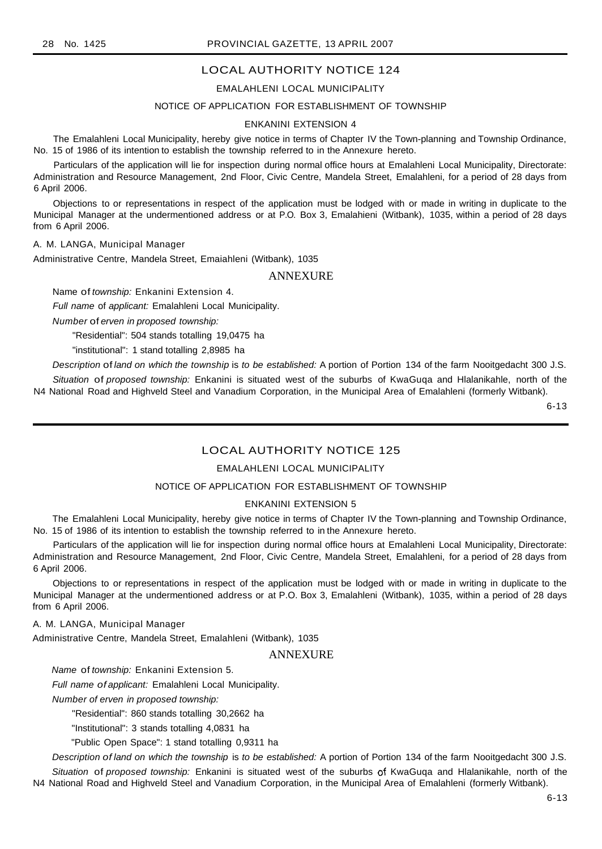## EMALAHLENI LOCAL MUNICIPALITY

## NOTICE OF APPLICATION FOR ESTABLISHMENT OF TOWNSHIP

#### ENKANINI EXTENSION 4

The Emalahleni Local Municipality, hereby give notice in terms of Chapter IV the Town-planning and Township Ordinance, No. 15 of 1986 of its intention to establish the township referred to in the Annexure hereto.

Particulars of the application will lie for inspection during normal office hours at Emalahleni Local Municipality, Directorate: Administration and Resource Management, 2nd Floor, Civic Centre, Mandela Street, Emalahleni, for a period of 28 days from 6 April 2006.

Objections to or representations in respect of the application must be lodged with or made in writing in duplicate to the Municipal Manager at the undermentioned address or at P.O. Box 3, Emalahieni (Witbank), 1035, within a period of 28 days from 6 April 2006.

A. M. LANGA, Municipal Manager

Administrative Centre, Mandela Street, Emaiahleni (Witbank), 1035

## ANNEXURE

Name of township: Enkanini Extension 4.

Full name of applicant: Emalahleni Local Municipality.

Number of erven in proposed township:

"Residential": 504 stands totalling 19,0475 ha

"institutional": 1 stand totalling 2,8985 ha

Description of land on which the township is to be established: A portion of Portion 134 of the farm Nooitgedacht 300 J.S. Situation of proposed township: Enkanini is situated west of the suburbs of KwaGuqa and Hlalanikahle, north of the N4 National Road and Highveld Steel and Vanadium Corporation, in the Municipal Area of Emalahleni (formerly Witbank).

6-13

## LOCAL AUTHORITY NOTICE 125

## EMALAHLENI LOCAL MUNICIPALITY

#### NOTICE OF APPLICATION FOR ESTABLISHMENT OF TOWNSHIP

## ENKANINI EXTENSION 5

The Emalahleni Local Municipality, hereby give notice in terms of Chapter IV the Town-planning and Township Ordinance, No. 15 of 1986 of its intention to establish the township referred to in the Annexure hereto.

Particulars of the application will lie for inspection during normal office hours at Emalahleni Local Municipality, Directorate: Administration and Resource Management, 2nd Floor, Civic Centre, Mandela Street, Emalahleni, for a period of 28 days from 6 April 2006.

Objections to or representations in respect of the application must be lodged with or made in writing in duplicate to the Municipal Manager at the undermentioned address or at P.O. Box 3, Emalahleni (Witbank), 1035, within a period of 28 days from 6 April 2006.

A. M. LANGA, Municipal Manager

Administrative Centre, Mandela Street, Emalahleni (Witbank), 1035

# ANNEXURE

Name of township: Enkanini Extension 5.

Full name of applicant: Emalahleni Local Municipality.

Number of erven in proposed township:

"Residential": 860 stands totalling 30,2662 ha

"Institutional": 3 stands totalling 4,0831 ha

"Public Open Space": 1 stand totalling 0,9311 ha

Description of land on which the township is to be established: A portion of Portion 134 of the farm Nooitgedacht 300 J.S. Situation of proposed township: Enkanini is situated west of the suburbs of KwaGuqa and Hlalanikahle, north of the N4 National Road and Highveld Steel and Vanadium Corporation, in the Municipal Area of Emalahleni (formerly Witbank).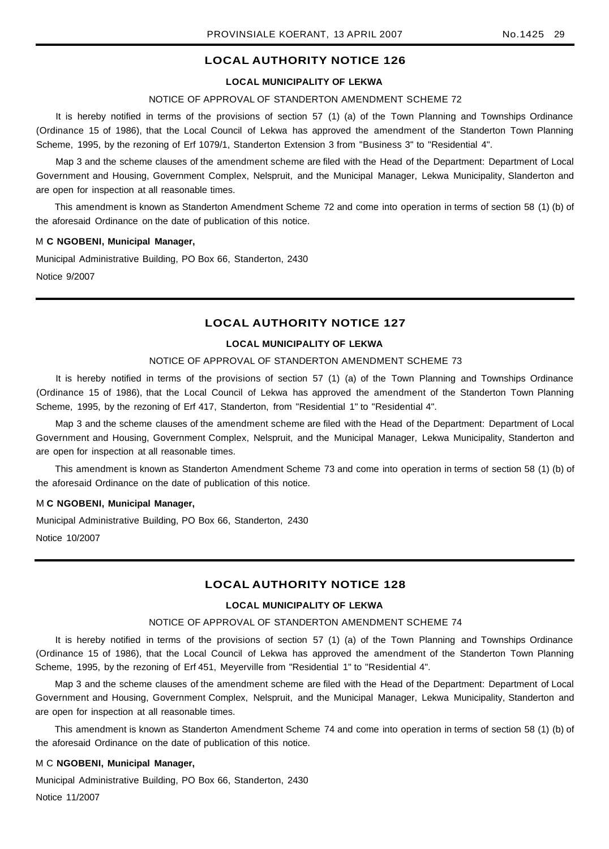#### **LOCAL MUNICIPALITY OF LEKWA**

#### NOTICE OF APPROVAL OF STANDERTON AMENDMENT SCHEME 72

It is hereby notified in terms of the provisions of section 57 (1) (a) of the Town Planning and Townships Ordinance (Ordinance 15 of 1986), that the Local Council of Lekwa has approved the amendment of the Standerton Town Planning Scheme, 1995, by the rezoning of Erf 1079/1, Standerton Extension 3 from "Business 3" to "Residential 4".

Map 3 and the scheme clauses of the amendment scheme are filed with the Head of the Department: Department of Local Government and Housing, Government Complex, Nelspruit, and the Municipal Manager, Lekwa Municipality, Slanderton and are open for inspection at all reasonable times.

This amendment is known as Standerton Amendment Scheme 72 and come into operation in terms of section 58 (1) (b) of the aforesaid Ordinance on the date of publication of this notice.

#### M **C NGOBENI, Municipal Manager,**

Municipal Administrative Building, PO Box 66, Standerton, 2430 Notice 9/2007

### **LOCAL AUTHORITY NOTICE 127**

## **LOCAL MUNICIPALITY OF LEKWA**

#### NOTICE OF APPROVAL OF STANDERTON AMENDMENT SCHEME 73

It is hereby notified in terms of the provisions of section 57 (1) (a) of the Town Planning and Townships Ordinance (Ordinance 15 of 1986), that the Local Council of Lekwa has approved the amendment of the Standerton Town Planning Scheme, 1995, by the rezoning of Erf 417, Standerton, from "Residential 1" to "Residential 4".

Map 3 and the scheme clauses of the amendment scheme are filed with the Head of the Department: Department of Local Government and Housing, Government Complex, Nelspruit, and the Municipal Manager, Lekwa Municipality, Standerton and are open for inspection at all reasonable times.

This amendment is known as Standerton Amendment Scheme 73 and come into operation in terms of section 58 (1) (b) of the aforesaid Ordinance on the date of publication of this notice.

## M **C NGOBENI, Municipal Manager,**

Municipal Administrative Building, PO Box 66, Standerton, 2430 Notice 10/2007

## **LOCAL AUTHORITY NOTICE 128**

### **LOCAL MUNICIPALITY OF LEKWA**

#### NOTICE OF APPROVAL OF STANDERTON AMENDMENT SCHEME 74

It is hereby notified in terms of the provisions of section 57 (1) (a) of the Town Planning and Townships Ordinance (Ordinance 15 of 1986), that the Local Council of Lekwa has approved the amendment of the Standerton Town Planning Scheme, 1995, by the rezoning of Erf 451, Meyerville from "Residential 1" to "Residential 4".

Map 3 and the scheme clauses of the amendment scheme are filed with the Head of the Department: Department of Local Government and Housing, Government Complex, Nelspruit, and the Municipal Manager, Lekwa Municipality, Standerton and are open for inspection at all reasonable times.

This amendment is known as Standerton Amendment Scheme 74 and come into operation in terms of section 58 (1) (b) of the aforesaid Ordinance on the date of publication of this notice.

#### M C **NGOBENI, Municipal Manager,**

Municipal Administrative Building, PO Box 66, Standerton, 2430 Notice 11/2007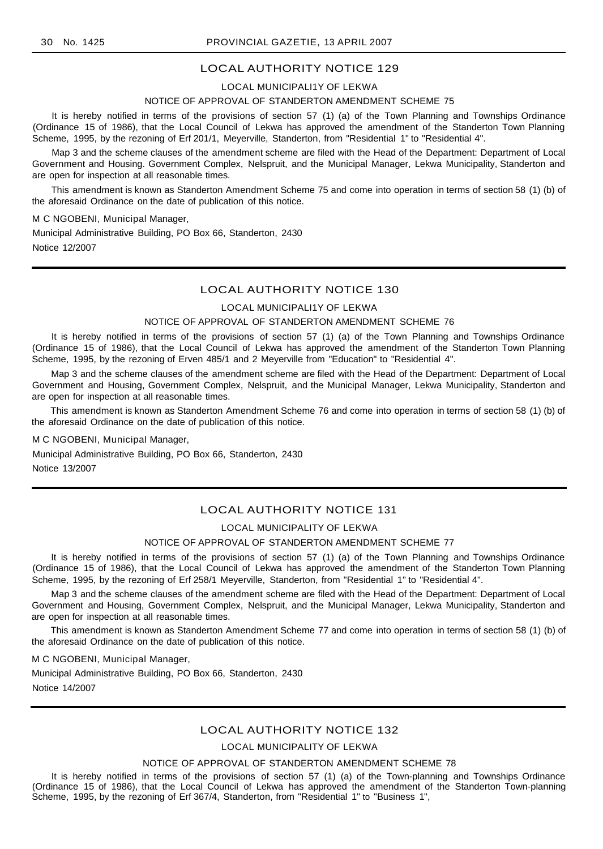#### LOCAL MUNICIPALI1Y OF LEKWA

#### NOTICE OF APPROVAL OF STANDERTON AMENDMENT SCHEME 75

It is hereby notified in terms of the provisions of section 57 (1) (a) of the Town Planning and Townships Ordinance (Ordinance 15 of 1986), that the Local Council of Lekwa has approved the amendment of the Standerton Town Planning Scheme, 1995, by the rezoning of Erf 201/1, Meyerville, Standerton, from "Residential 1" to "Residential 4".

Map 3 and the scheme clauses of the amendment scheme are filed with the Head of the Department: Department of Local Government and Housing. Government Complex, Nelspruit, and the Municipal Manager, Lekwa Municipality, Standerton and are open for inspection at all reasonable times.

This amendment is known as Standerton Amendment Scheme 75 and come into operation in terms of section 58 (1) (b) of the aforesaid Ordinance on the date of publication of this notice.

#### M C NGOBENI, Municipal Manager,

Municipal Administrative Building, PO Box 66, Standerton, 2430 Notice 12/2007

## LOCAL AUTHORITY NOTICE 130

#### LOCAL MUNICIPALI1Y OF LEKWA

## NOTICE OF APPROVAL OF STANDERTON AMENDMENT SCHEME 76

It is hereby notified in terms of the provisions of section 57 (1) (a) of the Town Planning and Townships Ordinance (Ordinance 15 of 1986), that the Local Council of Lekwa has approved the amendment of the Standerton Town Planning Scheme, 1995, by the rezoning of Erven 485/1 and 2 Meyerville from "Education" to "Residential 4".

Map 3 and the scheme clauses of the amendment scheme are filed with the Head of the Department: Department of Local Government and Housing, Government Complex, Nelspruit, and the Municipal Manager, Lekwa Municipality, Standerton and are open for inspection at all reasonable times.

This amendment is known as Standerton Amendment Scheme 76 and come into operation in terms of section 58 (1) (b) of the aforesaid Ordinance on the date of publication of this notice.

M C NGOBENI, Municipal Manager,

Municipal Administrative Building, PO Box 66, Standerton, 2430 Notice 13/2007

## LOCAL AUTHORITY NOTICE 131

## LOCAL MUNICIPALITY OF LEKWA

#### NOTICE OF APPROVAL OF STANDERTON AMENDMENT SCHEME 77

It is hereby notified in terms of the provisions of section 57 (1) (a) of the Town Planning and Townships Ordinance (Ordinance 15 of 1986), that the Local Council of Lekwa has approved the amendment of the Standerton Town Planning Scheme, 1995, by the rezoning of Erf 258/1 Meyerville, Standerton, from "Residential 1" to "Residential 4".

Map 3 and the scheme clauses of the amendment scheme are filed with the Head of the Department: Department of Local Government and Housing, Government Complex, Nelspruit, and the Municipal Manager, Lekwa Municipality, Standerton and are open for inspection at all reasonable times.

This amendment is known as Standerton Amendment Scheme 77 and come into operation in terms of section 58 (1) (b) of the aforesaid Ordinance on the date of publication of this notice.

M C NGOBENI, Municipal Manager,

Municipal Administrative Building, PO Box 66, Standerton, 2430 Notice 14/2007

## LOCAL AUTHORITY NOTICE 132

## LOCAL MUNICIPALITY OF LEKWA

#### NOTICE OF APPROVAL OF STANDERTON AMENDMENT SCHEME 78

It is hereby notified in terms of the provisions of section 57 (1) (a) of the Town-planning and Townships Ordinance (Ordinance 15 of 1986), that the Local Council of Lekwa has approved the amendment of the Standerton Town-planning Scheme, 1995, by the rezoning of Erf 367/4, Standerton, from "Residential 1" to "Business 1",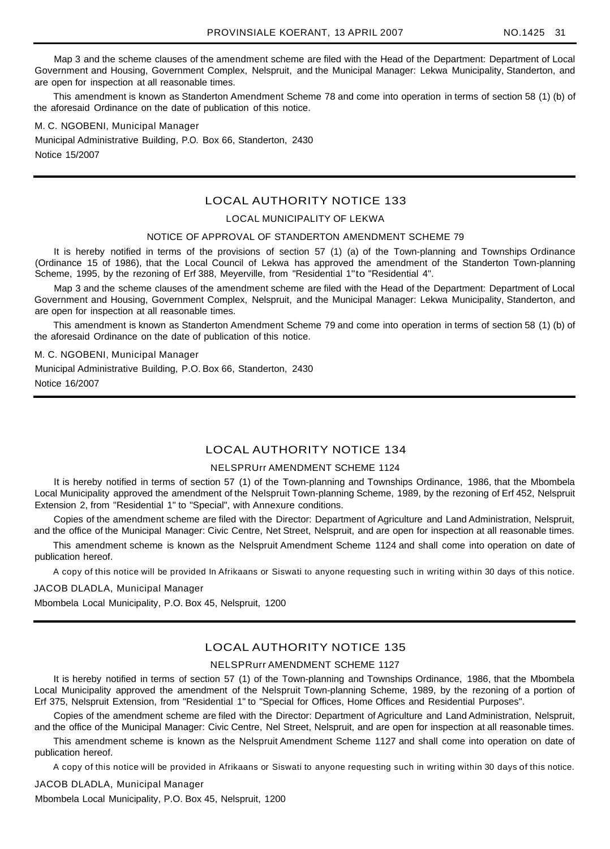Map 3 and the scheme clauses of the amendment scheme are filed with the Head of the Department: Department of Local Government and Housing, Government Complex, Nelspruit, and the Municipal Manager: Lekwa Municipality, Standerton, and are open for inspection at all reasonable times.

This amendment is known as Standerton Amendment Scheme 78 and come into operation in terms of section 58 (1) (b) of the aforesaid Ordinance on the date of publication of this notice.

M. C. NGOBENI, Municipal Manager Municipal Administrative Building, P.O. Box 66, Standerton, 2430 Notice 15/2007

## LOCAL AUTHORITY NOTICE 133

## LOCAL MUNICIPALITY OF LEKWA

#### NOTICE OF APPROVAL OF STANDERTON AMENDMENT SCHEME 79

It is hereby notified in terms of the provisions of section 57 (1) (a) of the Town-planning and Townships Ordinance (Ordinance 15 of 1986), that the Local Council of Lekwa has approved the amendment of the Standerton Town-planning Scheme, 1995, by the rezoning of Erf 388, Meyerville, from "Residential 1"to "Residential 4".

Map 3 and the scheme clauses of the amendment scheme are filed with the Head of the Department: Department of Local Government and Housing, Government Complex, Nelspruit, and the Municipal Manager: Lekwa Municipality, Standerton, and are open for inspection at all reasonable times.

This amendment is known as Standerton Amendment Scheme 79 and come into operation in terms of section 58 (1) (b) of the aforesaid Ordinance on the date of publication of this notice.

#### M. C. NGOBENI, Municipal Manager

Municipal Administrative Building, P.O. Box 66, Standerton, 2430 Notice 16/2007

## LOCAL AUTHORITY NOTICE 134

### NELSPRUrr AMENDMENT SCHEME 1124

It is hereby notified in terms of section 57 (1) of the Town-planning and Townships Ordinance, 1986, that the Mbombela Local Municipality approved the amendment of the Nelspruit Town-planning Scheme, 1989, by the rezoning of Erf 452, Nelspruit Extension 2, from "Residential 1" to "Special", with Annexure conditions.

Copies of the amendment scheme are filed with the Director: Department of Agriculture and Land Administration, Nelspruit, and the office of the Municipal Manager: Civic Centre, Net Street, Nelspruit, and are open for inspection at all reasonable times.

This amendment scheme is known as the Nelspruit Amendment Scheme 1124 and shall come into operation on date of publication hereof.

A copy of this notice will be provided In Afrikaans or Siswati to anyone requesting such in writing within 30 days of this notice.

#### JACOB DLADLA, Municipal Manager

Mbombela Local Municipality, P.O. Box 45, Nelspruit, 1200

# LOCAL AUTHORITY NOTICE 135

### NELSPRurr AMENDMENT SCHEME 1127

It is hereby notified in terms of section 57 (1) of the Town-planning and Townships Ordinance, 1986, that the Mbombela Local Municipality approved the amendment of the Nelspruit Town-planning Scheme, 1989, by the rezoning of a portion of Erf 375, Nelspruit Extension, from "Residential 1" to "Special for Offices, Home Offices and Residential Purposes".

Copies of the amendment scheme are filed with the Director: Department of Agriculture and Land Administration, Nelspruit, and the office of the Municipal Manager: Civic Centre, Nel Street, Nelspruit, and are open for inspection at all reasonable times.

This amendment scheme is known as the Nelspruit Amendment Scheme 1127 and shall come into operation on date of publication hereof.

A copy of this notice will be provided in Afrikaans or Siswati to anyone requesting such in writing within 30 days of this notice.

JACOB DLADLA, Municipal Manager

Mbombela Local Municipality, P.O. Box 45, Nelspruit, 1200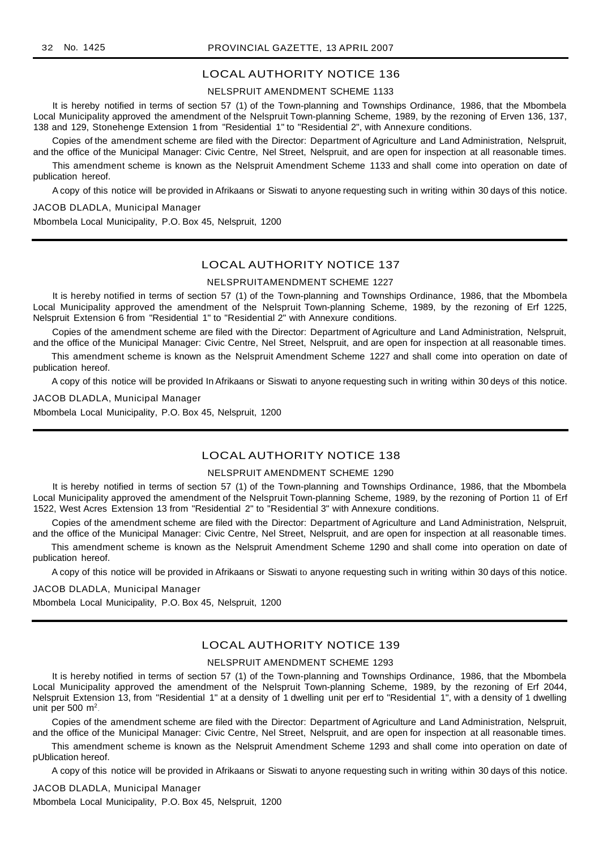## NELSPRUIT AMENDMENT SCHEME 1133

It is hereby notified in terms of section 57 (1) of the Town-planning and Townships Ordinance, 1986, that the Mbombela Local Municipality approved the amendment of the Nelspruit Town-planning Scheme, 1989, by the rezoning of Erven 136, 137, 138 and 129, Stonehenge Extension 1 from "Residential 1" to "Residential 2", with Annexure conditions.

Copies of the amendment scheme are filed with the Director: Department of Agriculture and Land Administration, Nelspruit, and the office of the Municipal Manager: Civic Centre, Nel Street, Nelspruit, and are open for inspection at all reasonable times.

This amendment scheme is known as the Nelspruit Amendment Scheme 1133 and shall come into operation on date of publication hereof.

A copy of this notice will be provided in Afrikaans or Siswati to anyone requesting such in writing within 30 days of this notice.

JACOB DLADLA, Municipal Manager

Mbombela Local Municipality, P.O. Box 45, Nelspruit, 1200

## LOCAL AUTHORITY NOTICE 137

## NELSPRUITAMENDMENT SCHEME 1227

It is hereby notified in terms of section 57 (1) of the Town-planning and Townships Ordinance, 1986, that the Mbombela Local Municipality approved the amendment of the Nelspruit Town-planning Scheme, 1989, by the rezoning of Erf 1225, Nelspruit Extension 6 from "Residential 1" to "Residential 2" with Annexure conditions.

Copies of the amendment scheme are filed with the Director: Department of Agriculture and Land Administration, Nelspruit, and the office of the Municipal Manager: Civic Centre, Nel Street, Nelspruit, and are open for inspection at all reasonable times.

This amendment scheme is known as the Nelspruit Amendment Scheme 1227 and shall come into operation on date of publication hereof.

A copy of this notice will be provided In Afrikaans or Siswati to anyone requesting such in writing within 30 deys of this notice.

JACOB DLADLA, Municipal Manager

Mbombela Local Municipality, P.O. Box 45, Nelspruit, 1200

## LOCAL AUTHORITY NOTICE 138

#### NELSPRUIT AMENDMENT SCHEME 1290

It is hereby notified in terms of section 57 (1) of the Town-planning and Townships Ordinance, 1986, that the Mbombela Local Municipality approved the amendment of the Nelspruit Town-planning Scheme, 1989, by the rezoning of Portion 11 of Erf 1522, West Acres Extension 13 from "Residential 2" to "Residential 3" with Annexure conditions.

Copies of the amendment scheme are filed with the Director: Department of Agriculture and Land Administration, Nelspruit, and the office of the Municipal Manager: Civic Centre, Nel Street, Nelspruit, and are open for inspection at all reasonable times.

This amendment scheme is known as the Nelspruit Amendment Scheme 1290 and shall come into operation on date of publication hereof.

A copy of this notice will be provided in Afrikaans or Siswati to anyone requesting such in writing within 30 days of this notice.

JACOB DLADLA, Municipal Manager

Mbombela Local Municipality, P.O. Box 45, Nelspruit, 1200

# LOCAL AUTHORITY NOTICE 139

#### NELSPRUIT AMENDMENT SCHEME 1293

It is hereby notified in terms of section 57 (1) of the Town-planning and Townships Ordinance, 1986, that the Mbombela Local Municipality approved the amendment of the Nelspruit Town-planning Scheme, 1989, by the rezoning of Erf 2044, Nelspruit Extension 13, from "Residential 1" at a density of 1 dwelling unit per erf to "Residential 1", with a density of 1 dwelling unit per 500 m<sup>2</sup>.

Copies of the amendment scheme are filed with the Director: Department of Agriculture and Land Administration, Nelspruit, and the office of the Municipal Manager: Civic Centre, Nel Street, Nelspruit, and are open for inspection at all reasonable times.

This amendment scheme is known as the Nelspruit Amendment Scheme 1293 and shall come into operation on date of pUblication hereof.

A copy of this notice will be provided in Afrikaans or Siswati to anyone requesting such in writing within 30 days of this notice.

JACOB DLADLA, Municipal Manager Mbombela Local Municipality, P.O. Box 45, Nelspruit, 1200